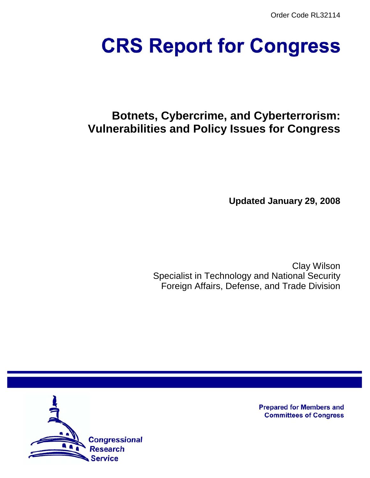Order Code RL32114

# **CRS Report for Congress**

# **Botnets, Cybercrime, and Cyberterrorism: Vulnerabilities and Policy Issues for Congress**

**Updated January 29, 2008**

Clay Wilson Specialist in Technology and National Security Foreign Affairs, Defense, and Trade Division



**Prepared for Members and Committees of Congress**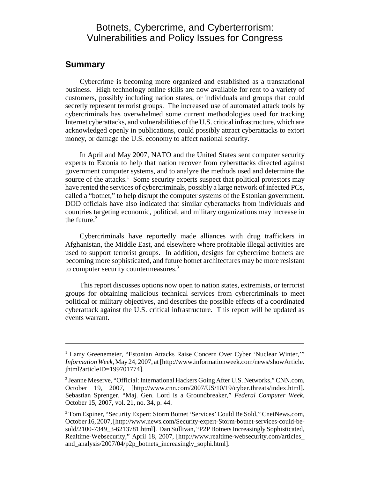# Botnets, Cybercrime, and Cyberterrorism: Vulnerabilities and Policy Issues for Congress

# **Summary**

Cybercrime is becoming more organized and established as a transnational business. High technology online skills are now available for rent to a variety of customers, possibly including nation states, or individuals and groups that could secretly represent terrorist groups. The increased use of automated attack tools by cybercriminals has overwhelmed some current methodologies used for tracking Internet cyberattacks, and vulnerabilities of the U.S. critical infrastructure, which are acknowledged openly in publications, could possibly attract cyberattacks to extort money, or damage the U.S. economy to affect national security.

In April and May 2007, NATO and the United States sent computer security experts to Estonia to help that nation recover from cyberattacks directed against government computer systems, and to analyze the methods used and determine the source of the attacks.<sup>1</sup> Some security experts suspect that political protestors may have rented the services of cybercriminals, possibly a large network of infected PCs, called a "botnet," to help disrupt the computer systems of the Estonian government. DOD officials have also indicated that similar cyberattacks from individuals and countries targeting economic, political, and military organizations may increase in the future. $2$ 

Cybercriminals have reportedly made alliances with drug traffickers in Afghanistan, the Middle East, and elsewhere where profitable illegal activities are used to support terrorist groups. In addition, designs for cybercrime botnets are becoming more sophisticated, and future botnet architectures may be more resistant to computer security countermeasures.<sup>3</sup>

This report discusses options now open to nation states, extremists, or terrorist groups for obtaining malicious technical services from cybercriminals to meet political or military objectives, and describes the possible effects of a coordinated cyberattack against the U.S. critical infrastructure. This report will be updated as events warrant.

<sup>&</sup>lt;sup>1</sup> Larry Greenemeier, "Estonian Attacks Raise Concern Over Cyber 'Nuclear Winter,"" *Information Week*, May 24, 2007, at [http://www.informationweek.com/news/showArticle. jhtml?articleID=199701774].

<sup>&</sup>lt;sup>2</sup> Jeanne Meserve, "Official: International Hackers Going After U.S. Networks," CNN.com, October 19, 2007, [http://www.cnn.com/2007/US/10/19/cyber.threats/index.html]. Sebastian Sprenger, "Maj. Gen. Lord Is a Groundbreaker," *Federal Computer Week*, October 15, 2007, vol. 21, no. 34, p. 44.

<sup>&</sup>lt;sup>3</sup> Tom Espiner, "Security Expert: Storm Botnet 'Services' Could Be Sold," CnetNews.com, October 16, 2007, [http://www.news.com/Security-expert-Storm-botnet-services-could-besold/2100-7349\_3-6213781.html]. Dan Sullivan, "P2P Botnets Increasingly Sophisticated, Realtime-Websecurity," April 18, 2007, [http://www.realtime-websecurity.com/articles\_ and\_analysis/2007/04/p2p\_botnets\_increasingly\_sophi.html].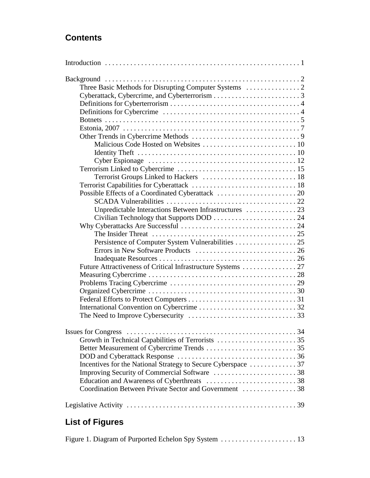# **Contents**

| Terrorist Groups Linked to Hackers  18<br>Unpredictable Interactions Between Infrastructures  23                      |  |
|-----------------------------------------------------------------------------------------------------------------------|--|
| Future Attractiveness of Critical Infrastructure Systems  27                                                          |  |
| Incentives for the National Strategy to Secure Cyberspace 37<br>Coordination Between Private Sector and Government 38 |  |
|                                                                                                                       |  |

# **List of Figures**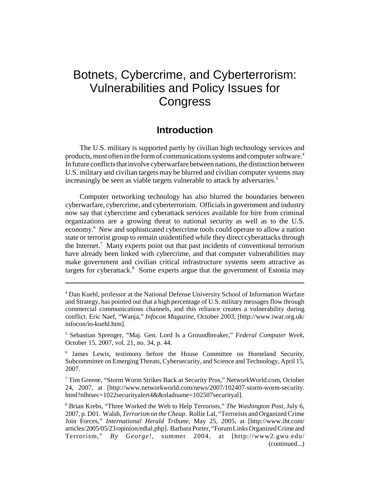# Botnets, Cybercrime, and Cyberterrorism: Vulnerabilities and Policy Issues for **Congress**

# **Introduction**

The U.S. military is supported partly by civilian high technology services and products, most often in the form of communications systems and computer software.<sup>4</sup> In future conflicts that involve cyberwarfare between nations, the distinction between U.S. military and civilian targets may be blurred and civilian computer systems may increasingly be seen as viable targets vulnerable to attack by adversaries.<sup>5</sup>

Computer networking technology has also blurred the boundaries between cyberwarfare, cybercrime, and cyberterrorism. Officials in government and industry now say that cybercrime and cyberattack services available for hire from criminal organizations are a growing threat to national security as well as to the U.S. economy.<sup>6</sup> New and sophisticated cybercrime tools could operate to allow a nation state or terrorist group to remain unidentified while they direct cyberattacks through the Internet.<sup>7</sup> Many experts point out that past incidents of conventional terrorism have already been linked with cybercrime, and that computer vulnerabilities may make government and civilian critical infrastructure systems seem attractive as targets for cyberattack.<sup>8</sup> Some experts argue that the government of Estonia may

<sup>4</sup> Dan Kuehl, professor at the National Defense University School of Information Warfare and Strategy, has pointed out that a high percentage of U.S. military messages flow through commercial communications channels, and this reliance creates a vulnerability during conflict. Eric Naef, "Wanja," *Infocon Magazine*, October 2003, [http://www.iwar.org.uk/ infocon/io-kuehl.htm].

<sup>5</sup> Sebastian Sprenger, "Maj. Gen. Lord Is a Groundbreaker," *Federal Computer Week*, October 15, 2007, vol. 21, no. 34, p. 44.

<sup>&</sup>lt;sup>6</sup> James Lewis, testimony before the House Committee on Homeland Security, Subcommittee on Emerging Threats, Cybersecurity, and Science and Technology, April 15, 2007.

<sup>7</sup> Tim Greene, "Storm Worm Strikes Back at Security Pros," NetworkWorld.com, October 24, 2007, at [http://www.networkworld.com/news/2007/102407-storm-worm-security. html?nlhtsec=1022securityalert4&&nladname=102507securityal].

<sup>8</sup> Brian Krebs, "Three Worked the Web to Help Terrorists," *The Washington Post*, July 6, 2007, p. D01. Walsh, *Terrorism on the Cheap*. Rollie Lal, "Terrorists and Organized Crime Join Forces," *International Herald Tribune*, May 25, 2005, at [http://www.iht.com/ articles/2005/05/23/opinion/edlal.php]. Barbara Porter, "Forum Links Organized Crime and Terrorism," *By George!*, summer 2004, at [http://www2.gwu.edu/ (continued...)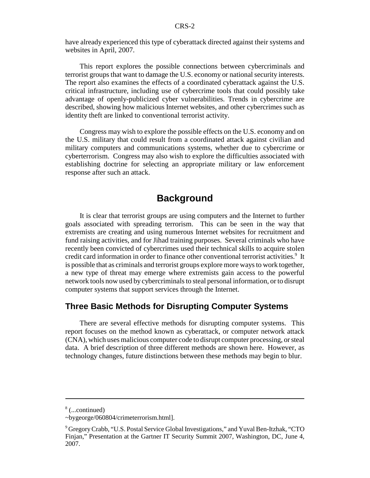have already experienced this type of cyberattack directed against their systems and websites in April, 2007.

This report explores the possible connections between cybercriminals and terrorist groups that want to damage the U.S. economy or national security interests. The report also examines the effects of a coordinated cyberattack against the U.S. critical infrastructure, including use of cybercrime tools that could possibly take advantage of openly-publicized cyber vulnerabilities. Trends in cybercrime are described, showing how malicious Internet websites, and other cybercrimes such as identity theft are linked to conventional terrorist activity.

Congress may wish to explore the possible effects on the U.S. economy and on the U.S. military that could result from a coordinated attack against civilian and military computers and communications systems, whether due to cybercrime or cyberterrorism. Congress may also wish to explore the difficulties associated with establishing doctrine for selecting an appropriate military or law enforcement response after such an attack.

# **Background**

It is clear that terrorist groups are using computers and the Internet to further goals associated with spreading terrorism. This can be seen in the way that extremists are creating and using numerous Internet websites for recruitment and fund raising activities, and for Jihad training purposes. Several criminals who have recently been convicted of cybercrimes used their technical skills to acquire stolen credit card information in order to finance other conventional terrorist activities.<sup>9</sup> It is possible that as criminals and terrorist groups explore more ways to work together, a new type of threat may emerge where extremists gain access to the powerful network tools now used by cybercriminals to steal personal information, or to disrupt computer systems that support services through the Internet.

# **Three Basic Methods for Disrupting Computer Systems**

There are several effective methods for disrupting computer systems. This report focuses on the method known as cyberattack, or computer network attack (CNA), which uses malicious computer code to disrupt computer processing, or steal data. A brief description of three different methods are shown here. However, as technology changes, future distinctions between these methods may begin to blur.

<sup>8</sup> (...continued)

<sup>~</sup>bygeorge/060804/crimeterrorism.html].

<sup>9</sup> Gregory Crabb, "U.S. Postal Service Global Investigations," and Yuval Ben-Itzhak, "CTO Finjan," Presentation at the Gartner IT Security Summit 2007, Washington, DC, June 4, 2007.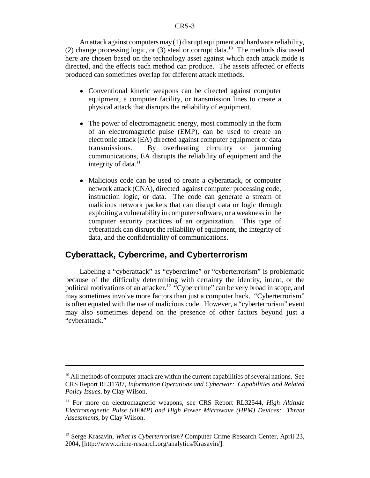An attack against computers may (1) disrupt equipment and hardware reliability, (2) change processing logic, or  $(3)$  steal or corrupt data.<sup>10</sup> The methods discussed here are chosen based on the technology asset against which each attack mode is directed, and the effects each method can produce. The assets affected or effects produced can sometimes overlap for different attack methods.

- Conventional kinetic weapons can be directed against computer equipment, a computer facility, or transmission lines to create a physical attack that disrupts the reliability of equipment.
- The power of electromagnetic energy, most commonly in the form of an electromagnetic pulse (EMP), can be used to create an electronic attack (EA) directed against computer equipment or data transmissions. By overheating circuitry or jamming communications, EA disrupts the reliability of equipment and the integrity of data.<sup>11</sup>
- ! Malicious code can be used to create a cyberattack, or computer network attack (CNA), directed against computer processing code, instruction logic, or data. The code can generate a stream of malicious network packets that can disrupt data or logic through exploiting a vulnerability in computer software, or a weakness in the computer security practices of an organization. This type of cyberattack can disrupt the reliability of equipment, the integrity of data, and the confidentiality of communications.

# **Cyberattack, Cybercrime, and Cyberterrorism**

Labeling a "cyberattack" as "cybercrime" or "cyberterrorism" is problematic because of the difficulty determining with certainty the identity, intent, or the political motivations of an attacker.<sup>12</sup> "Cybercrime" can be very broad in scope, and may sometimes involve more factors than just a computer hack. "Cyberterrorism" is often equated with the use of malicious code. However, a "cyberterrorism" event may also sometimes depend on the presence of other factors beyond just a "cyberattack."

 $10$  All methods of computer attack are within the current capabilities of several nations. See CRS Report RL31787, *Information Operations and Cyberwar: Capabilities and Related Policy Issues*, by Clay Wilson.

<sup>11</sup> For more on electromagnetic weapons, see CRS Report RL32544, *High Altitude Electromagnetic Pulse (HEMP) and High Power Microwave (HPM) Devices: Threat Assessments*, by Clay Wilson.

<sup>&</sup>lt;sup>12</sup> Serge Krasavin, *What is Cyberterrorism?* Computer Crime Research Center, April 23, 2004, [http://www.crime-research.org/analytics/Krasavin/].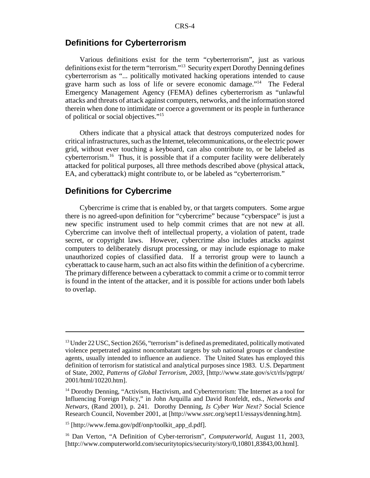#### **Definitions for Cyberterrorism**

Various definitions exist for the term "cyberterrorism", just as various definitions exist for the term "terrorism."13 Security expert Dorothy Denning defines cyberterrorism as "... politically motivated hacking operations intended to cause grave harm such as loss of life or severe economic damage."14 The Federal Emergency Management Agency (FEMA) defines cyberterrorism as "unlawful attacks and threats of attack against computers, networks, and the information stored therein when done to intimidate or coerce a government or its people in furtherance of political or social objectives."15

Others indicate that a physical attack that destroys computerized nodes for critical infrastructures, such as the Internet, telecommunications, or the electric power grid, without ever touching a keyboard, can also contribute to, or be labeled as cyberterrorism.16 Thus, it is possible that if a computer facility were deliberately attacked for political purposes, all three methods described above (physical attack, EA, and cyberattack) might contribute to, or be labeled as "cyberterrorism."

# **Definitions for Cybercrime**

Cybercrime is crime that is enabled by, or that targets computers. Some argue there is no agreed-upon definition for "cybercrime" because "cyberspace" is just a new specific instrument used to help commit crimes that are not new at all. Cybercrime can involve theft of intellectual property, a violation of patent, trade secret, or copyright laws. However, cybercrime also includes attacks against computers to deliberately disrupt processing, or may include espionage to make unauthorized copies of classified data. If a terrorist group were to launch a cyberattack to cause harm, such an act also fits within the definition of a cybercrime. The primary difference between a cyberattack to commit a crime or to commit terror is found in the intent of the attacker, and it is possible for actions under both labels to overlap.

 $^{13}$  Under 22 USC, Section 2656, "terrorism" is defined as premeditated, politically motivated violence perpetrated against noncombatant targets by sub national groups or clandestine agents, usually intended to influence an audience. The United States has employed this definition of terrorism for statistical and analytical purposes since 1983. U.S. Department of State, 2002, *Patterns of Global Terrorism, 2003*, [http://www.state.gov/s/ct/rls/pgtrpt/ 2001/html/10220.htm].

<sup>&</sup>lt;sup>14</sup> Dorothy Denning, "Activism, Hactivism, and Cyberterrorism: The Internet as a tool for Influencing Foreign Policy," in John Arquilla and David Ronfeldt, eds., *Networks and Netwars*, (Rand 2001), p. 241. Dorothy Denning, *Is Cyber War Next?* Social Science Research Council, November 2001, at [http://www.ssrc.org/sept11/essays/denning.htm].

 $15$  [http://www.fema.gov/pdf/onp/toolkit\_app\_d.pdf].

<sup>16</sup> Dan Verton, "A Definition of Cyber-terrorism", *Computerworld*, August 11, 2003, [http://www.computerworld.com/securitytopics/security/story/0,10801,83843,00.html].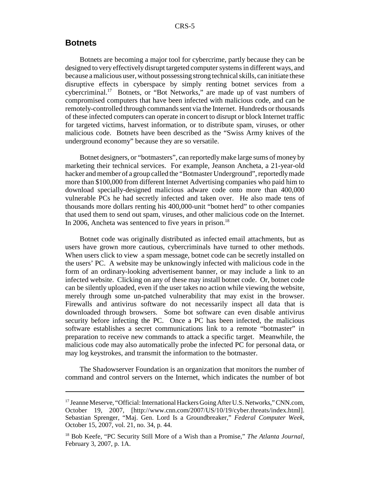#### **Botnets**

Botnets are becoming a major tool for cybercrime, partly because they can be designed to very effectively disrupt targeted computer systems in different ways, and because a malicious user, without possessing strong technical skills, can initiate these disruptive effects in cyberspace by simply renting botnet services from a cybercriminal.17 Botnets, or "Bot Networks," are made up of vast numbers of compromised computers that have been infected with malicious code, and can be remotely-controlled through commands sent via the Internet. Hundreds or thousands of these infected computers can operate in concert to disrupt or block Internet traffic for targeted victims, harvest information, or to distribute spam, viruses, or other malicious code. Botnets have been described as the "Swiss Army knives of the underground economy" because they are so versatile.

Botnet designers, or "botmasters", can reportedly make large sums of money by marketing their technical services. For example, Jeanson Ancheta, a 21-year-old hacker and member of a group called the "Botmaster Underground", reportedly made more than \$100,000 from different Internet Advertising companies who paid him to download specially-designed malicious adware code onto more than 400,000 vulnerable PCs he had secretly infected and taken over. He also made tens of thousands more dollars renting his 400,000-unit "botnet herd" to other companies that used them to send out spam, viruses, and other malicious code on the Internet. In 2006, Ancheta was sentenced to five years in prison.<sup>18</sup>

Botnet code was originally distributed as infected email attachments, but as users have grown more cautious, cybercriminals have turned to other methods. When users click to view a spam message, botnet code can be secretly installed on the users' PC. A website may be unknowingly infected with malicious code in the form of an ordinary-looking advertisement banner, or may include a link to an infected website. Clicking on any of these may install botnet code. Or, botnet code can be silently uploaded, even if the user takes no action while viewing the website, merely through some un-patched vulnerability that may exist in the browser. Firewalls and antivirus software do not necessarily inspect all data that is downloaded through browsers. Some bot software can even disable antivirus security before infecting the PC. Once a PC has been infected, the malicious software establishes a secret communications link to a remote "botmaster" in preparation to receive new commands to attack a specific target. Meanwhile, the malicious code may also automatically probe the infected PC for personal data, or may log keystrokes, and transmit the information to the botmaster.

The Shadowserver Foundation is an organization that monitors the number of command and control servers on the Internet, which indicates the number of bot

<sup>&</sup>lt;sup>17</sup> Jeanne Meserve, "Official: International Hackers Going After U.S. Networks," CNN.com, October 19, 2007, [http://www.cnn.com/2007/US/10/19/cyber.threats/index.html]. Sebastian Sprenger, "Maj. Gen. Lord Is a Groundbreaker," *Federal Computer Week*, October 15, 2007, vol. 21, no. 34, p. 44.

<sup>18</sup> Bob Keefe, "PC Security Still More of a Wish than a Promise," *The Atlanta Journal*, February 3, 2007, p. 1A.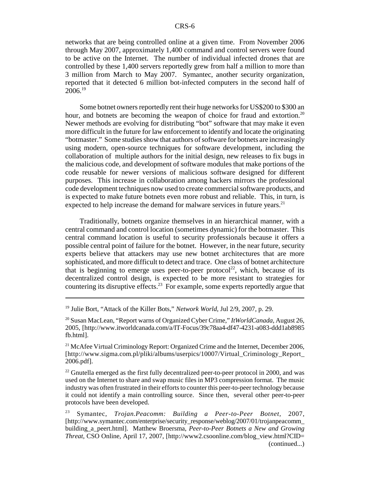networks that are being controlled online at a given time. From November 2006 through May 2007, approximately 1,400 command and control servers were found to be active on the Internet. The number of individual infected drones that are controlled by these 1,400 servers reportedly grew from half a million to more than 3 million from March to May 2007. Symantec, another security organization, reported that it detected 6 million bot-infected computers in the second half of  $2006.<sup>19</sup>$ 

Some botnet owners reportedly rent their huge networks for US\$200 to \$300 an hour, and botnets are becoming the weapon of choice for fraud and extortion.<sup>20</sup> Newer methods are evolving for distributing "bot" software that may make it even more difficult in the future for law enforcement to identify and locate the originating "botmaster." Some studies show that authors of software for botnets are increasingly using modern, open-source techniques for software development, including the collaboration of multiple authors for the initial design, new releases to fix bugs in the malicious code, and development of software modules that make portions of the code reusable for newer versions of malicious software designed for different purposes. This increase in collaboration among hackers mirrors the professional code development techniques now used to create commercial software products, and is expected to make future botnets even more robust and reliable. This, in turn, is expected to help increase the demand for malware services in future years.<sup>21</sup>

Traditionally, botnets organize themselves in an hierarchical manner, with a central command and control location (sometimes dynamic) for the botmaster. This central command location is useful to security professionals because it offers a possible central point of failure for the botnet. However, in the near future, security experts believe that attackers may use new botnet architectures that are more sophisticated, and more difficult to detect and trace. One class of botnet architecture that is beginning to emerge uses peer-to-peer protocol<sup>22</sup>, which, because of its decentralized control design, is expected to be more resistant to strategies for countering its disruptive effects.<sup>23</sup> For example, some experts reportedly argue that

<sup>19</sup> Julie Bort, "Attack of the Killer Bots," *Network World*, Jul 2/9, 2007, p. 29.

<sup>20</sup> Susan MacLean, "Report warns of Organized Cyber Crime," *ItWorldCanada*, August 26, 2005, [http://www.itworldcanada.com/a/IT-Focus/39c78aa4-df47-4231-a083-ddd1ab8985 fb.html].

<sup>&</sup>lt;sup>21</sup> McAfee Virtual Criminology Report: Organized Crime and the Internet, December 2006, [http://www.sigma.com.pl/pliki/albums/userpics/10007/Virtual\_Criminology\_Report\_ 2006.pdf].

 $22$  Gnutella emerged as the first fully decentralized peer-to-peer protocol in 2000, and was used on the Internet to share and swap music files in MP3 compression format. The music industry was often frustrated in their efforts to counter this peer-to-peer technology because it could not identify a main controlling source. Since then, several other peer-to-peer protocols have been developed.

<sup>23</sup> Symantec, *Trojan.Peacomm: Building a Peer-to-Peer Botnet,* 2007, [http://www.symantec.com/enterprise/security\_response/weblog/2007/01/trojanpeacomm\_ building\_a\_peert.html]. Matthew Broersma, *Peer-to-Peer Botnets a New and Growing Threat*, CSO Online, April 17, 2007, [http://www2.csoonline.com/blog\_view.html?CID= (continued...)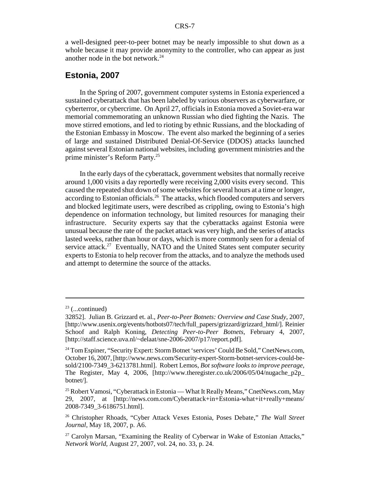a well-designed peer-to-peer botnet may be nearly impossible to shut down as a whole because it may provide anonymity to the controller, who can appear as just another node in the bot network. $^{24}$ 

#### **Estonia, 2007**

In the Spring of 2007, government computer systems in Estonia experienced a sustained cyberattack that has been labeled by various observers as cyberwarfare, or cyberterror, or cybercrime. On April 27, officials in Estonia moved a Soviet-era war memorial commemorating an unknown Russian who died fighting the Nazis. The move stirred emotions, and led to rioting by ethnic Russians, and the blockading of the Estonian Embassy in Moscow. The event also marked the beginning of a series of large and sustained Distributed Denial-Of-Service (DDOS) attacks launched against several Estonian national websites, including government ministries and the prime minister's Reform Party.25

In the early days of the cyberattack, government websites that normally receive around 1,000 visits a day reportedly were receiving 2,000 visits every second. This caused the repeated shut down of some websites for several hours at a time or longer, according to Estonian officials.<sup>26</sup> The attacks, which flooded computers and servers and blocked legitimate users, were described as crippling, owing to Estonia's high dependence on information technology, but limited resources for managing their infrastructure. Security experts say that the cyberattacks against Estonia were unusual because the rate of the packet attack was very high, and the series of attacks lasted weeks, rather than hour or days, which is more commonly seen for a denial of service attack.<sup>27</sup> Eventually, NATO and the United States sent computer security experts to Estonia to help recover from the attacks, and to analyze the methods used and attempt to determine the source of the attacks.

 $23$  (...continued)

<sup>32852].</sup> Julian B. Grizzard et. al., *Peer-to-Peer Botnets: Overview and Case Study*, 2007, [http://www.usenix.org/events/hotbots07/tech/full\_papers/grizzard/grizzard\_html/]. Reinier Schoof and Ralph Koning, *Detecting Peer-to-Peer Botnets*, February 4, 2007, [http://staff.science.uva.nl/~delaat/sne-2006-2007/p17/report.pdf].

<sup>&</sup>lt;sup>24</sup> Tom Espiner, "Security Expert: Storm Botnet 'services' Could Be Sold," CnetNews.com, October 16, 2007, [http://www.news.com/Security-expert-Storm-botnet-services-could-besold/2100-7349\_3-6213781.html]. Robert Lemos, *Bot software looks to improve peerage,* The Register, May 4, 2006,  $[http://www.theregister.co.uk/2006/05/04/nugachep2p]$ botnet/].

<sup>&</sup>lt;sup>25</sup> Robert Vamosi, "Cyberattack in Estonia — What It Really Means," CnetNews.com, May 29, 2007, at [http://news.com.com/Cyberattack+in+Estonia-what+it+really+means/ 2008-7349\_3-6186751.html].

<sup>26</sup> Christopher Rhoads, "Cyber Attack Vexes Estonia, Poses Debate," *The Wall Street Journal*, May 18, 2007, p. A6.

 $27$  Carolyn Marsan, "Examining the Reality of Cyberwar in Wake of Estonian Attacks," *Network World*, August 27, 2007, vol. 24, no. 33, p. 24.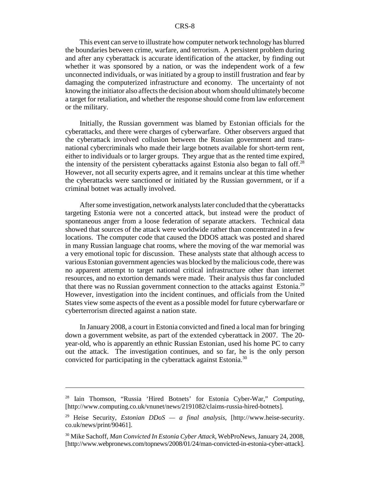This event can serve to illustrate how computer network technology has blurred the boundaries between crime, warfare, and terrorism. A persistent problem during and after any cyberattack is accurate identification of the attacker, by finding out whether it was sponsored by a nation, or was the independent work of a few unconnected individuals, or was initiated by a group to instill frustration and fear by damaging the computerized infrastructure and economy. The uncertainty of not knowing the initiator also affects the decision about whom should ultimately become a target for retaliation, and whether the response should come from law enforcement or the military.

Initially, the Russian government was blamed by Estonian officials for the cyberattacks, and there were charges of cyberwarfare. Other observers argued that the cyberattack involved collusion between the Russian government and transnational cybercriminals who made their large botnets available for short-term rent, either to individuals or to larger groups. They argue that as the rented time expired, the intensity of the persistent cyberattacks against Estonia also began to fall off.<sup>28</sup> However, not all security experts agree, and it remains unclear at this time whether the cyberattacks were sanctioned or initiated by the Russian government, or if a criminal botnet was actually involved.

After some investigation, network analysts later concluded that the cyberattacks targeting Estonia were not a concerted attack, but instead were the product of spontaneous anger from a loose federation of separate attackers. Technical data showed that sources of the attack were worldwide rather than concentrated in a few locations. The computer code that caused the DDOS attack was posted and shared in many Russian language chat rooms, where the moving of the war memorial was a very emotional topic for discussion. These analysts state that although access to various Estonian government agencies was blocked by the malicious code, there was no apparent attempt to target national critical infrastructure other than internet resources, and no extortion demands were made. Their analysis thus far concluded that there was no Russian government connection to the attacks against Estonia.<sup>29</sup> However, investigation into the incident continues, and officials from the United States view some aspects of the event as a possible model for future cyberwarfare or cyberterrorism directed against a nation state.

In January 2008, a court in Estonia convicted and fined a local man for bringing down a government website, as part of the extended cyberattack in 2007. The 20 year-old, who is apparently an ethnic Russian Estonian, used his home PC to carry out the attack. The investigation continues, and so far, he is the only person convicted for participating in the cyberattack against Estonia.30

<sup>28</sup> Iain Thomson, "Russia 'Hired Botnets' for Estonia Cyber-War," *Computing*, [http://www.computing.co.uk/vnunet/news/2191082/claims-russia-hired-botnets].

<sup>29</sup> Heise Security, *Estonian DDoS — a final analysis*, [http://www.heise-security. co.uk/news/print/90461].

<sup>30</sup> Mike Sachoff, *Man Convicted In Estonia Cyber Attack*, WebProNews, January 24, 2008, [http://www.webpronews.com/topnews/2008/01/24/man-convicted-in-estonia-cyber-attack].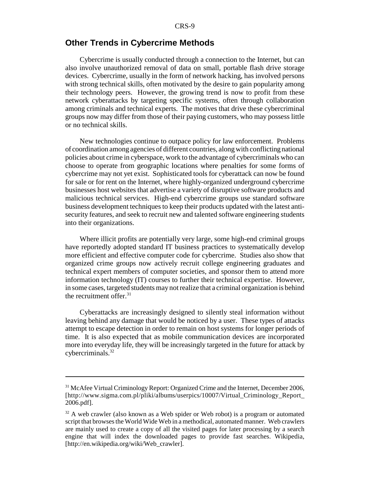#### **Other Trends in Cybercrime Methods**

Cybercrime is usually conducted through a connection to the Internet, but can also involve unauthorized removal of data on small, portable flash drive storage devices. Cybercrime, usually in the form of network hacking, has involved persons with strong technical skills, often motivated by the desire to gain popularity among their technology peers. However, the growing trend is now to profit from these network cyberattacks by targeting specific systems, often through collaboration among criminals and technical experts. The motives that drive these cybercriminal groups now may differ from those of their paying customers, who may possess little or no technical skills.

New technologies continue to outpace policy for law enforcement. Problems of coordination among agencies of different countries, along with conflicting national policies about crime in cyberspace, work to the advantage of cybercriminals who can choose to operate from geographic locations where penalties for some forms of cybercrime may not yet exist. Sophisticated tools for cyberattack can now be found for sale or for rent on the Internet, where highly-organized underground cybercrime businesses host websites that advertise a variety of disruptive software products and malicious technical services. High-end cybercrime groups use standard software business development techniques to keep their products updated with the latest antisecurity features, and seek to recruit new and talented software engineering students into their organizations.

Where illicit profits are potentially very large, some high-end criminal groups have reportedly adopted standard IT business practices to systematically develop more efficient and effective computer code for cybercrime. Studies also show that organized crime groups now actively recruit college engineering graduates and technical expert members of computer societies, and sponsor them to attend more information technology (IT) courses to further their technical expertise. However, in some cases, targeted students may not realize that a criminal organization is behind the recruitment offer. $31$ 

Cyberattacks are increasingly designed to silently steal information without leaving behind any damage that would be noticed by a user. These types of attacks attempt to escape detection in order to remain on host systems for longer periods of time. It is also expected that as mobile communication devices are incorporated more into everyday life, they will be increasingly targeted in the future for attack by cybercriminals.32

<sup>&</sup>lt;sup>31</sup> McAfee Virtual Criminology Report: Organized Crime and the Internet, December 2006, [http://www.sigma.com.pl/pliki/albums/userpics/10007/Virtual\_Criminology\_Report\_ 2006.pdf].

 $32$  A web crawler (also known as a Web spider or Web robot) is a program or automated script that browses the World Wide Web in a methodical, automated manner. Web crawlers are mainly used to create a copy of all the visited pages for later processing by a search engine that will index the downloaded pages to provide fast searches. Wikipedia, [http://en.wikipedia.org/wiki/Web\_crawler].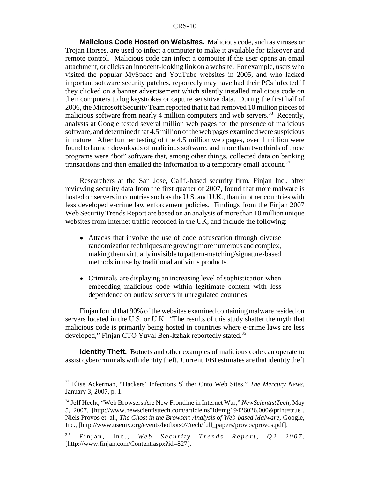**Malicious Code Hosted on Websites.** Malicious code, such as viruses or Trojan Horses, are used to infect a computer to make it available for takeover and remote control. Malicious code can infect a computer if the user opens an email attachment, or clicks an innocent-looking link on a website. For example, users who visited the popular MySpace and YouTube websites in 2005, and who lacked important software security patches, reportedly may have had their PCs infected if they clicked on a banner advertisement which silently installed malicious code on their computers to log keystrokes or capture sensitive data. During the first half of 2006, the Microsoft Security Team reported that it had removed 10 million pieces of malicious software from nearly 4 million computers and web servers.<sup>33</sup> Recently, analysts at Google tested several million web pages for the presence of malicious software, and determined that 4.5 million of the web pages examined were suspicious in nature. After further testing of the 4.5 million web pages, over 1 million were found to launch downloads of malicious software, and more than two thirds of those programs were "bot" software that, among other things, collected data on banking transactions and then emailed the information to a temporary email account.<sup>34</sup>

Researchers at the San Jose, Calif.-based security firm, Finjan Inc., after reviewing security data from the first quarter of 2007, found that more malware is hosted on servers in countries such as the U.S. and U.K., than in other countries with less developed e-crime law enforcement policies. Findings from the Finjan 2007 Web Security Trends Report are based on an analysis of more than 10 million unique websites from Internet traffic recorded in the UK, and include the following:

- ! Attacks that involve the use of code obfuscation through diverse randomization techniques are growing more numerous and complex, making them virtually invisible to pattern-matching/signature-based methods in use by traditional antivirus products.
- Criminals are displaying an increasing level of sophistication when embedding malicious code within legitimate content with less dependence on outlaw servers in unregulated countries.

Finjan found that 90% of the websites examined containing malware resided on servers located in the U.S. or U.K. "The results of this study shatter the myth that malicious code is primarily being hosted in countries where e-crime laws are less developed," Finjan CTO Yuval Ben-Itzhak reportedly stated.<sup>35</sup>

**Identity Theft.** Botnets and other examples of malicious code can operate to assist cybercriminals with identity theft. Current FBI estimates are that identity theft

<sup>33</sup> Elise Ackerman, "Hackers' Infections Slither Onto Web Sites," *The Mercury News*, January 3, 2007, p. 1.

<sup>34</sup> Jeff Hecht, "Web Browsers Are New Frontline in Internet War," *NewScientistTech*, May 5, 2007, [http://www.newscientisttech.com/article.ns?id=mg19426026.000&print=true]. Niels Provos et. al., *The Ghost in the Browser: Analysis of Web-based Malware*, Google, Inc., [http://www.usenix.org/events/hotbots07/tech/full\_papers/provos/provos.pdf].

<sup>&</sup>lt;sup>35</sup> Finjan, Inc., *Web Security Trends Report*, Q2 2007, [http://www.finjan.com/Content.aspx?id=827].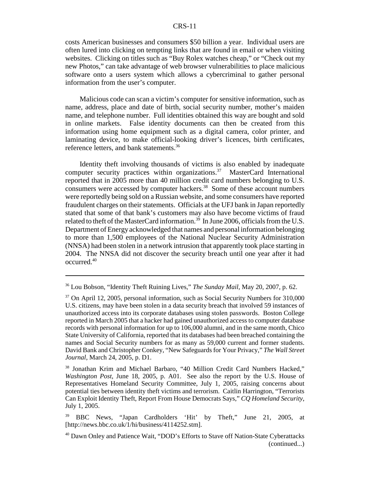costs American businesses and consumers \$50 billion a year. Individual users are often lured into clicking on tempting links that are found in email or when visiting websites. Clicking on titles such as "Buy Rolex watches cheap," or "Check out my new Photos," can take advantage of web browser vulnerabilities to place malicious software onto a users system which allows a cybercriminal to gather personal information from the user's computer.

Malicious code can scan a victim's computer for sensitive information, such as name, address, place and date of birth, social security number, mother's maiden name, and telephone number. Full identities obtained this way are bought and sold in online markets. False identity documents can then be created from this information using home equipment such as a digital camera, color printer, and laminating device, to make official-looking driver's licences, birth certificates, reference letters, and bank statements.<sup>36</sup>

Identity theft involving thousands of victims is also enabled by inadequate computer security practices within organizations.<sup>37</sup> MasterCard International reported that in 2005 more than 40 million credit card numbers belonging to U.S. consumers were accessed by computer hackers.<sup>38</sup> Some of these account numbers were reportedly being sold on a Russian website, and some consumers have reported fraudulent charges on their statements. Officials at the UFJ bank in Japan reportedly stated that some of that bank's customers may also have become victims of fraud related to theft of the MasterCard information.<sup>39</sup> In June 2006, officials from the U.S. Department of Energy acknowledged that names and personal information belonging to more than 1,500 employees of the National Nuclear Security Administration (NNSA) had been stolen in a network intrusion that apparently took place starting in 2004. The NNSA did not discover the security breach until one year after it had occurred.40

<sup>36</sup> Lou Bobson, "Identity Theft Ruining Lives," *The Sunday Mail*, May 20, 2007, p. 62.

<sup>&</sup>lt;sup>37</sup> On April 12, 2005, personal information, such as Social Security Numbers for 310,000 U.S. citizens, may have been stolen in a data security breach that involved 59 instances of unauthorized access into its corporate databases using stolen passwords. Boston College reported in March 2005 that a hacker had gained unauthorized access to computer database records with personal information for up to 106,000 alumni, and in the same month, Chico State University of California, reported that its databases had been breached containing the names and Social Security numbers for as many as 59,000 current and former students. David Bank and Christopher Conkey, "New Safeguards for Your Privacy," *The Wall Street Journal*, March 24, 2005, p. D1.

<sup>38</sup> Jonathan Krim and Michael Barbaro, "40 Million Credit Card Numbers Hacked," *Washington Post*, June 18, 2005, p. A01. See also the report by the U.S. House of Representatives Homeland Security Committee, July 1, 2005, raising concerns about potential ties between identity theft victims and terrorism. Caitlin Harrington, "Terrorists Can Exploit Identity Theft, Report From House Democrats Says," *CQ Homeland Security*, July 1, 2005.

<sup>39</sup> BBC News, "Japan Cardholders 'Hit' by Theft," June 21, 2005, at [http://news.bbc.co.uk/1/hi/business/4114252.stm].

<sup>40</sup> Dawn Onley and Patience Wait, "DOD's Efforts to Stave off Nation-State Cyberattacks (continued...)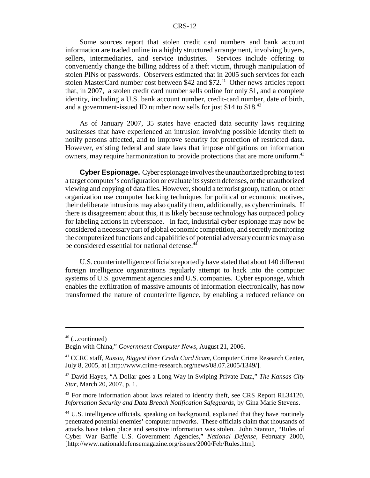Some sources report that stolen credit card numbers and bank account information are traded online in a highly structured arrangement, involving buyers, sellers, intermediaries, and service industries. Services include offering to conveniently change the billing address of a theft victim, through manipulation of stolen PINs or passwords. Observers estimated that in 2005 such services for each stolen MasterCard number cost between \$42 and \$72.<sup>41</sup> Other news articles report that, in 2007, a stolen credit card number sells online for only \$1, and a complete identity, including a U.S. bank account number, credit-card number, date of birth, and a government-issued ID number now sells for just \$14 to \$18<sup>.42</sup>

As of January 2007, 35 states have enacted data security laws requiring businesses that have experienced an intrusion involving possible identity theft to notify persons affected, and to improve security for protection of restricted data. However, existing federal and state laws that impose obligations on information owners, may require harmonization to provide protections that are more uniform.<sup>43</sup>

**Cyber Espionage.** Cyber espionage involves the unauthorized probing to test a target computer's configuration or evaluate its system defenses, or the unauthorized viewing and copying of data files. However, should a terrorist group, nation, or other organization use computer hacking techniques for political or economic motives, their deliberate intrusions may also qualify them, additionally, as cybercriminals. If there is disagreement about this, it is likely because technology has outpaced policy for labeling actions in cyberspace. In fact, industrial cyber espionage may now be considered a necessary part of global economic competition, and secretly monitoring the computerized functions and capabilities of potential adversary countries may also be considered essential for national defense.<sup>44</sup>

U.S. counterintelligence officials reportedly have stated that about 140 different foreign intelligence organizations regularly attempt to hack into the computer systems of U.S. government agencies and U.S. companies. Cyber espionage, which enables the exfiltration of massive amounts of information electronically, has now transformed the nature of counterintelligence, by enabling a reduced reliance on

 $40$  (...continued)

Begin with China," *Government Computer News*, August 21, 2006.

<sup>41</sup> CCRC staff, *Russia, Biggest Ever Credit Card Scam*, Computer Crime Research Center, July 8, 2005, at [http://www.crime-research.org/news/08.07.2005/1349/].

<sup>42</sup> David Hayes, "A Dollar goes a Long Way in Swiping Private Data," *The Kansas City Star*, March 20, 2007, p. 1.

<sup>&</sup>lt;sup>43</sup> For more information about laws related to identity theft, see CRS Report RL34120, *Information Security and Data Breach Notification Safeguards*, by Gina Marie Stevens.

<sup>&</sup>lt;sup>44</sup> U.S. intelligence officials, speaking on background, explained that they have routinely penetrated potential enemies' computer networks. These officials claim that thousands of attacks have taken place and sensitive information was stolen. John Stanton, "Rules of Cyber War Baffle U.S. Government Agencies," *National Defense*, February 2000, [http://www.nationaldefensemagazine.org/issues/2000/Feb/Rules.htm].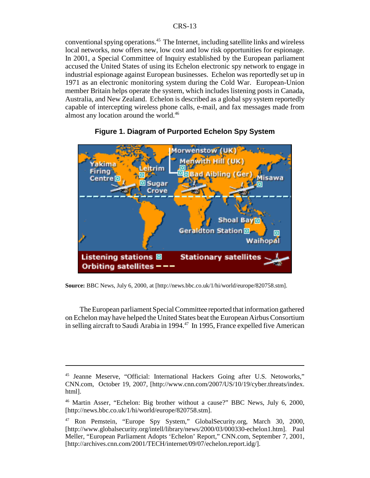conventional spying operations.<sup>45</sup> The Internet, including satellite links and wireless local networks, now offers new, low cost and low risk opportunities for espionage. In 2001, a Special Committee of Inquiry established by the European parliament accused the United States of using its Echelon electronic spy network to engage in industrial espionage against European businesses. Echelon was reportedly set up in 1971 as an electronic monitoring system during the Cold War. European-Union member Britain helps operate the system, which includes listening posts in Canada, Australia, and New Zealand. Echelon is described as a global spy system reportedly capable of intercepting wireless phone calls, e-mail, and fax messages made from almost any location around the world.<sup>46</sup>





**Source:** BBC News, July 6, 2000, at [http://news.bbc.co.uk/1/hi/world/europe/820758.stm].

The European parliament Special Committee reported that information gathered on Echelon may have helped the United States beat the European Airbus Consortium in selling aircraft to Saudi Arabia in 1994.47 In 1995, France expelled five American

<sup>45</sup> Jeanne Meserve, "Official: International Hackers Going after U.S. Netoworks," CNN.com, October 19, 2007, [http://www.cnn.com/2007/US/10/19/cyber.threats/index. html].

<sup>46</sup> Martin Asser, "Echelon: Big brother without a cause?" BBC News, July 6, 2000, [http://news.bbc.co.uk/1/hi/world/europe/820758.stm].

<sup>47</sup> Ron Pemstein, "Europe Spy System," GlobalSecurity.org, March 30, 2000, [http://www.globalsecurity.org/intell/library/news/2000/03/000330-echelon1.htm]. Paul Meller, "European Parliament Adopts 'Echelon' Report," CNN.com, September 7, 2001, [http://archives.cnn.com/2001/TECH/internet/09/07/echelon.report.idg/].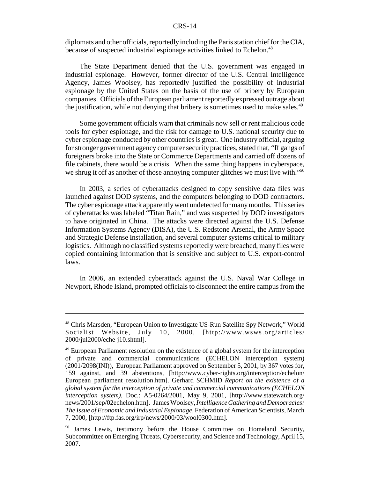diplomats and other officials, reportedly including the Paris station chief for the CIA, because of suspected industrial espionage activities linked to Echelon.<sup>48</sup>

The State Department denied that the U.S. government was engaged in industrial espionage. However, former director of the U.S. Central Intelligence Agency, James Woolsey, has reportedly justified the possibility of industrial espionage by the United States on the basis of the use of bribery by European companies. Officials of the European parliament reportedly expressed outrage about the justification, while not denying that bribery is sometimes used to make sales.<sup>49</sup>

Some government officials warn that criminals now sell or rent malicious code tools for cyber espionage, and the risk for damage to U.S. national security due to cyber espionage conducted by other countries is great. One industry official, arguing for stronger government agency computer security practices, stated that, "If gangs of foreigners broke into the State or Commerce Departments and carried off dozens of file cabinets, there would be a crisis. When the same thing happens in cyberspace, we shrug it off as another of those annoying computer glitches we must live with."<sup>50</sup>

In 2003, a series of cyberattacks designed to copy sensitive data files was launched against DOD systems, and the computers belonging to DOD contractors. The cyber espionage attack apparently went undetected for many months. This series of cyberattacks was labeled "Titan Rain," and was suspected by DOD investigators to have originated in China. The attacks were directed against the U.S. Defense Information Systems Agency (DISA), the U.S. Redstone Arsenal, the Army Space and Strategic Defense Installation, and several computer systems critical to military logistics. Although no classified systems reportedly were breached, many files were copied containing information that is sensitive and subject to U.S. export-control laws.

In 2006, an extended cyberattack against the U.S. Naval War College in Newport, Rhode Island, prompted officials to disconnect the entire campus from the

<sup>48</sup> Chris Marsden, "European Union to Investigate US-Run Satellite Spy Network," World Socialist Website, July 10, 2000, [http://www.wsws.org/articles/ 2000/jul2000/eche-j10.shtml].

<sup>&</sup>lt;sup>49</sup> European Parliament resolution on the existence of a global system for the interception of private and commercial communications (ECHELON interception system) (2001/2098(INI)), European Parliament approved on September 5, 2001, by 367 votes for, 159 against, and 39 abstentions, [http://www.cyber-rights.org/interception/echelon/ European\_parliament\_resolution.htm]. Gerhard SCHMID *Report on the existence of a global system for the interception of private and commercial communications (ECHELON interception system)*, Doc.: A5-0264/2001, May 9, 2001, [http://www.statewatch.org/ news/2001/sep/02echelon.htm]. James Woolsey, *Intelligence Gathering and Democracies: The Issue of Economic and Industrial Espionage*, Federation of American Scientists, March 7, 2000, [http://ftp.fas.org/irp/news/2000/03/wool0300.htm].

<sup>&</sup>lt;sup>50</sup> James Lewis, testimony before the House Committee on Homeland Security, Subcommittee on Emerging Threats, Cybersecurity, and Science and Technology, April 15, 2007.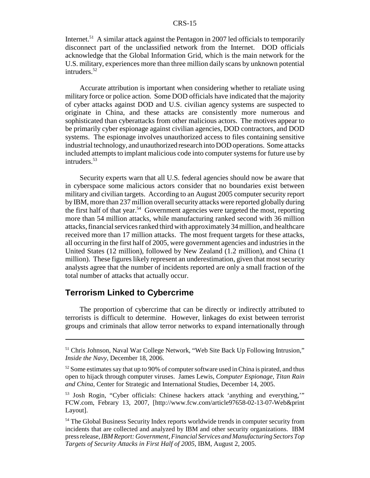Internet.<sup>51</sup> A similar attack against the Pentagon in 2007 led officials to temporarily disconnect part of the unclassified network from the Internet. DOD officials acknowledge that the Global Information Grid, which is the main network for the U.S. military, experiences more than three million daily scans by unknown potential intruders.<sup>52</sup>

Accurate attribution is important when considering whether to retaliate using military force or police action. Some DOD officials have indicated that the majority of cyber attacks against DOD and U.S. civilian agency systems are suspected to originate in China, and these attacks are consistently more numerous and sophisticated than cyberattacks from other malicious actors. The motives appear to be primarily cyber espionage against civilian agencies, DOD contractors, and DOD systems. The espionage involves unauthorized access to files containing sensitive industrial technology, and unauthorized research into DOD operations. Some attacks included attempts to implant malicious code into computer systems for future use by intruders.<sup>53</sup>

Security experts warn that all U.S. federal agencies should now be aware that in cyberspace some malicious actors consider that no boundaries exist between military and civilian targets. According to an August 2005 computer security report by IBM, more than 237 million overall security attacks were reported globally during the first half of that year.<sup>54</sup> Government agencies were targeted the most, reporting more than 54 million attacks, while manufacturing ranked second with 36 million attacks, financial services ranked third with approximately 34 million, and healthcare received more than 17 million attacks. The most frequent targets for these attacks, all occurring in the first half of 2005, were government agencies and industries in the United States (12 million), followed by New Zealand (1.2 million), and China (1 million). These figures likely represent an underestimation, given that most security analysts agree that the number of incidents reported are only a small fraction of the total number of attacks that actually occur.

# **Terrorism Linked to Cybercrime**

The proportion of cybercrime that can be directly or indirectly attributed to terrorists is difficult to determine. However, linkages do exist between terrorist groups and criminals that allow terror networks to expand internationally through

<sup>&</sup>lt;sup>51</sup> Chris Johnson, Naval War College Network, "Web Site Back Up Following Intrusion," *Inside the Navy*, December 18, 2006.

 $52$  Some estimates say that up to 90% of computer software used in China is pirated, and thus open to hijack through computer viruses. James Lewis, *Computer Espionage, Titan Rain and China*, Center for Strategic and International Studies, December 14, 2005.

<sup>53</sup> Josh Rogin, "Cyber officials: Chinese hackers attack 'anything and everything,'" FCW.com, Febrary 13, 2007, [http://www.fcw.com/article97658-02-13-07-Web&print Layout].

<sup>&</sup>lt;sup>54</sup> The Global Business Security Index reports worldwide trends in computer security from incidents that are collected and analyzed by IBM and other security organizations. IBM press release, *IBM Report: Government, Financial Services and Manufacturing Sectors Top Targets of Security Attacks in First Half of 2005*, IBM, August 2, 2005.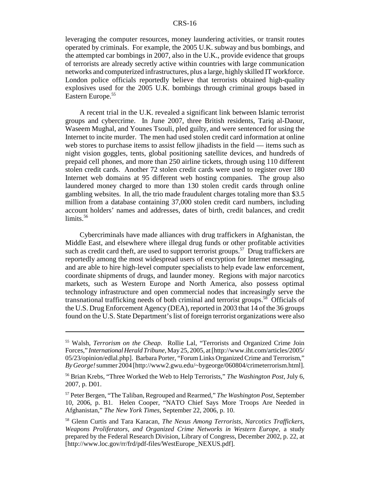leveraging the computer resources, money laundering activities, or transit routes operated by criminals. For example, the 2005 U.K. subway and bus bombings, and the attempted car bombings in 2007, also in the U.K., provide evidence that groups of terrorists are already secretly active within countries with large communication networks and computerized infrastructures, plus a large, highly skilled IT workforce. London police officials reportedly believe that terrorists obtained high-quality explosives used for the 2005 U.K. bombings through criminal groups based in Eastern Europe.<sup>55</sup>

A recent trial in the U.K. revealed a significant link between Islamic terrorist groups and cybercrime. In June 2007, three British residents, Tariq al-Daour, Waseem Mughal, and Younes Tsouli, pled guilty, and were sentenced for using the Internet to incite murder. The men had used stolen credit card information at online web stores to purchase items to assist fellow jihadists in the field — items such as night vision goggles, tents, global positioning satellite devices, and hundreds of prepaid cell phones, and more than 250 airline tickets, through using 110 different stolen credit cards. Another 72 stolen credit cards were used to register over 180 Internet web domains at 95 different web hosting companies. The group also laundered money charged to more than 130 stolen credit cards through online gambling websites. In all, the trio made fraudulent charges totaling more than \$3.5 million from a database containing 37,000 stolen credit card numbers, including account holders' names and addresses, dates of birth, credit balances, and credit  $limits<sub>56</sub>$ 

Cybercriminals have made alliances with drug traffickers in Afghanistan, the Middle East, and elsewhere where illegal drug funds or other profitable activities such as credit card theft, are used to support terrorist groups.<sup>57</sup> Drug traffickers are reportedly among the most widespread users of encryption for Internet messaging, and are able to hire high-level computer specialists to help evade law enforcement, coordinate shipments of drugs, and launder money. Regions with major narcotics markets, such as Western Europe and North America, also possess optimal technology infrastructure and open commercial nodes that increasingly serve the transnational trafficking needs of both criminal and terrorist groups.<sup>58</sup> Officials of the U.S. Drug Enforcement Agency (DEA), reported in 2003 that 14 of the 36 groups found on the U.S. State Department's list of foreign terrorist organizations were also

<sup>55</sup> Walsh, *Terrorism on the Cheap*. Rollie Lal, "Terrorists and Organized Crime Join Forces," *International Herald Tribune*, May 25, 2005, at [http://www.iht.com/articles/2005/ 05/23/opinion/edlal.php]. Barbara Porter, "Forum Links Organized Crime and Terrorism," *By George!* summer 2004 [http://www2.gwu.edu/~bygeorge/060804/crimeterrorism.html].

<sup>56</sup> Brian Krebs, "Three Worked the Web to Help Terrorists," *The Washington Post*, July 6, 2007, p. D01.

<sup>57</sup> Peter Bergen, "The Taliban, Regrouped and Rearmed," *The Washington Post*, September 10, 2006, p. B1. Helen Cooper, "NATO Chief Says More Troops Are Needed in Afghanistan," *The New York Times*, September 22, 2006, p. 10.

<sup>58</sup> Glenn Curtis and Tara Karacan, *The Nexus Among Terrorists, Narcotics Traffickers, Weapons Proliferators, and Organized Crime Networks in Western Europe*, a study prepared by the Federal Research Division, Library of Congress, December 2002, p. 22, at [http://www.loc.gov/rr/frd/pdf-files/WestEurope\_NEXUS.pdf].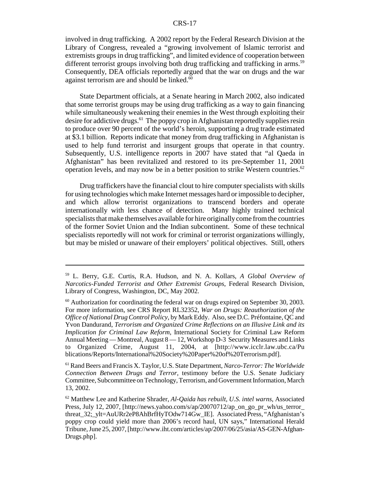involved in drug trafficking. A 2002 report by the Federal Research Division at the Library of Congress, revealed a "growing involvement of Islamic terrorist and extremists groups in drug trafficking", and limited evidence of cooperation between different terrorist groups involving both drug trafficking and trafficking in arms.<sup>59</sup> Consequently, DEA officials reportedly argued that the war on drugs and the war against terrorism are and should be linked.<sup>60</sup>

State Department officials, at a Senate hearing in March 2002, also indicated that some terrorist groups may be using drug trafficking as a way to gain financing while simultaneously weakening their enemies in the West through exploiting their desire for addictive drugs.<sup>61</sup> The poppy crop in Afghanistan reportedly supplies resin to produce over 90 percent of the world's heroin, supporting a drug trade estimated at \$3.1 billion. Reports indicate that money from drug trafficking in Afghanistan is used to help fund terrorist and insurgent groups that operate in that country. Subsequently, U.S. intelligence reports in 2007 have stated that "al Qaeda in Afghanistan" has been revitalized and restored to its pre-September 11, 2001 operation levels, and may now be in a better position to strike Western countries.<sup>62</sup>

Drug traffickers have the financial clout to hire computer specialists with skills for using technologies which make Internet messages hard or impossible to decipher, and which allow terrorist organizations to transcend borders and operate internationally with less chance of detection. Many highly trained technical specialists that make themselves available for hire originally come from the countries of the former Soviet Union and the Indian subcontinent. Some of these technical specialists reportedly will not work for criminal or terrorist organizations willingly, but may be misled or unaware of their employers' political objectives. Still, others

<sup>59</sup> L. Berry, G.E. Curtis, R.A. Hudson, and N. A. Kollars, *A Global Overview of Narcotics-Funded Terrorist and Other Extremist Groups*, Federal Research Division, Library of Congress, Washington, DC, May 2002.

<sup>&</sup>lt;sup>60</sup> Authorization for coordinating the federal war on drugs expired on September 30, 2003. For more information, see CRS Report RL32352, *War on Drugs: Reauthorization of the Office of National Drug Control Policy*, by Mark Eddy. Also, see D.C. Préfontaine, QC and Yvon Dandurand, *Terrorism and Organized Crime Reflections on an Illusive Link and its Implication for Criminal Law Reform*, International Society for Criminal Law Reform Annual Meeting — Montreal, August 8 — 12, Workshop D-3 Security Measures and Links to Organized Crime, August 11, 2004, at [http://www.icclr.law.ubc.ca/Pu blications/Reports/International%20Society%20Paper%20of%20Terrorism.pdf].

<sup>61</sup> Rand Beers and Francis X. Taylor, U.S. State Department, *Narco-Terror: The Worldwide Connection Between Drugs and Terror*, testimony before the U.S. Senate Judiciary Committee, Subcommittee on Technology, Terrorism, and Government Information, March 13, 2002.

<sup>62</sup> Matthew Lee and Katherine Shrader, *Al-Qaida has rebuilt, U.S. intel warns*, Associated Press, July 12, 2007, [http://news.yahoo.com/s/ap/20070712/ap\_on\_go\_pr\_wh/us\_terror\_ threat\_32;\_ylt=AuURr2eP8AhBrfHyTOdw714Gw\_IE]. Associated Press, "Afghanistan's poppy crop could yield more than 2006's record haul, UN says," International Herald Tribune, June 25, 2007, [http://www.iht.com/articles/ap/2007/06/25/asia/AS-GEN-Afghan-Drugs.php].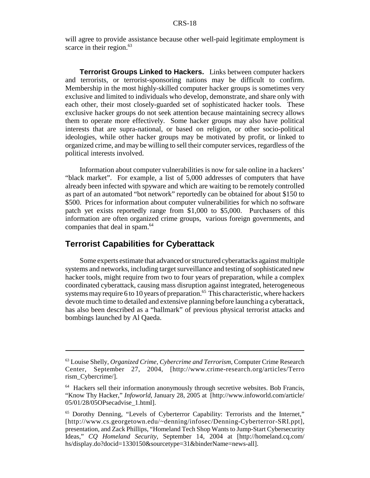will agree to provide assistance because other well-paid legitimate employment is scarce in their region.<sup>63</sup>

**Terrorist Groups Linked to Hackers.** Links between computer hackers and terrorists, or terrorist-sponsoring nations may be difficult to confirm. Membership in the most highly-skilled computer hacker groups is sometimes very exclusive and limited to individuals who develop, demonstrate, and share only with each other, their most closely-guarded set of sophisticated hacker tools. These exclusive hacker groups do not seek attention because maintaining secrecy allows them to operate more effectively. Some hacker groups may also have political interests that are supra-national, or based on religion, or other socio-political ideologies, while other hacker groups may be motivated by profit, or linked to organized crime, and may be willing to sell their computer services, regardless of the political interests involved.

Information about computer vulnerabilities is now for sale online in a hackers' "black market". For example, a list of 5,000 addresses of computers that have already been infected with spyware and which are waiting to be remotely controlled as part of an automated "bot network" reportedly can be obtained for about \$150 to \$500. Prices for information about computer vulnerabilities for which no software patch yet exists reportedly range from \$1,000 to \$5,000. Purchasers of this information are often organized crime groups, various foreign governments, and companies that deal in spam.<sup>64</sup>

# **Terrorist Capabilities for Cyberattack**

Some experts estimate that advanced or structured cyberattacks against multiple systems and networks, including target surveillance and testing of sophisticated new hacker tools, might require from two to four years of preparation, while a complex coordinated cyberattack, causing mass disruption against integrated, heterogeneous systems may require 6 to 10 years of preparation.<sup>65</sup> This characteristic, where hackers devote much time to detailed and extensive planning before launching a cyberattack, has also been described as a "hallmark" of previous physical terrorist attacks and bombings launched by Al Qaeda.

<sup>63</sup> Louise Shelly, *Organized Crime, Cybercrime and Terrorism*, Computer Crime Research Center, September 27, 2004, [http://www.crime-research.org/articles/Terro rism\_Cybercrime/].

<sup>&</sup>lt;sup>64</sup> Hackers sell their information anonymously through secretive websites. Bob Francis, "Know Thy Hacker," *Infoworld*, January 28, 2005 at [http://www.infoworld.com/article/ 05/01/28/05OPsecadvise\_1.html].

<sup>65</sup> Dorothy Denning, "Levels of Cyberterror Capability: Terrorists and the Internet," [http://www.cs.georgetown.edu/~denning/infosec/Denning-Cyberterror-SRI.ppt], presentation, and Zack Phillips, "Homeland Tech Shop Wants to Jump-Start Cybersecurity Ideas," *CQ Homeland Security*, September 14, 2004 at [http://homeland.cq.com/ hs/display.do?docid=1330150&sourcetype=31&binderName=news-all].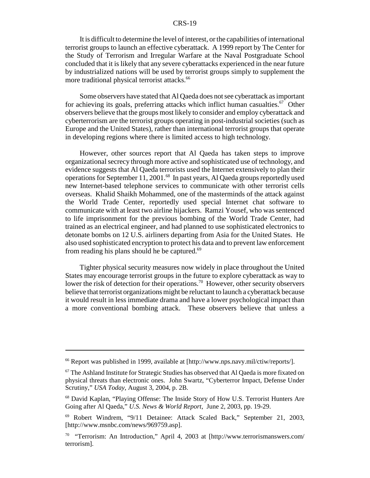It is difficult to determine the level of interest, or the capabilities of international terrorist groups to launch an effective cyberattack. A 1999 report by The Center for the Study of Terrorism and Irregular Warfare at the Naval Postgraduate School concluded that it is likely that any severe cyberattacks experienced in the near future by industrialized nations will be used by terrorist groups simply to supplement the more traditional physical terrorist attacks.<sup>66</sup>

Some observers have stated that Al Qaeda does not see cyberattack as important for achieving its goals, preferring attacks which inflict human casualties.<sup>67</sup> Other observers believe that the groups most likely to consider and employ cyberattack and cyberterrorism are the terrorist groups operating in post-industrial societies (such as Europe and the United States), rather than international terrorist groups that operate in developing regions where there is limited access to high technology.

However, other sources report that Al Qaeda has taken steps to improve organizational secrecy through more active and sophisticated use of technology, and evidence suggests that Al Qaeda terrorists used the Internet extensively to plan their operations for September 11, 2001.68 In past years, Al Qaeda groups reportedly used new Internet-based telephone services to communicate with other terrorist cells overseas. Khalid Shaikh Mohammed, one of the masterminds of the attack against the World Trade Center, reportedly used special Internet chat software to communicate with at least two airline hijackers. Ramzi Yousef, who was sentenced to life imprisonment for the previous bombing of the World Trade Center, had trained as an electrical engineer, and had planned to use sophisticated electronics to detonate bombs on 12 U.S. airliners departing from Asia for the United States. He also used sophisticated encryption to protect his data and to prevent law enforcement from reading his plans should he be captured.<sup>69</sup>

Tighter physical security measures now widely in place throughout the United States may encourage terrorist groups in the future to explore cyberattack as way to lower the risk of detection for their operations.<sup>70</sup> However, other security observers believe that terrorist organizations might be reluctant to launch a cyberattack because it would result in less immediate drama and have a lower psychological impact than a more conventional bombing attack. These observers believe that unless a

<sup>66</sup> Report was published in 1999, available at [http://www.nps.navy.mil/ctiw/reports/].

 $67$  The Ashland Institute for Strategic Studies has observed that Al Qaeda is more fixated on physical threats than electronic ones. John Swartz, "Cyberterror Impact, Defense Under Scrutiny," *USA Today*, August 3, 2004, p. 2B.

<sup>68</sup> David Kaplan, "Playing Offense: The Inside Story of How U.S. Terrorist Hunters Are Going after Al Qaeda," *U.S. News & World Report*, June 2, 2003, pp. 19-29.

<sup>69</sup> Robert Windrem, "9/11 Detainee: Attack Scaled Back," September 21, 2003, [http://www.msnbc.com/news/969759.asp].

<sup>&</sup>lt;sup>70</sup> "Terrorism: An Introduction," April 4, 2003 at [http://www.terrorismanswers.com/ terrorism].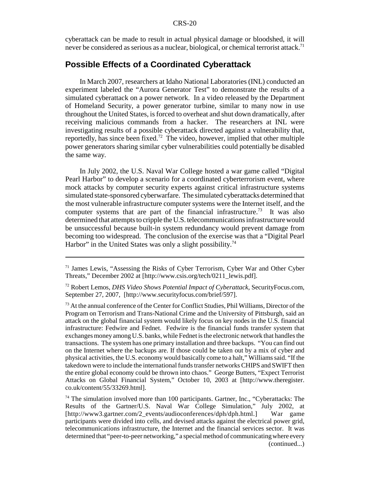cyberattack can be made to result in actual physical damage or bloodshed, it will never be considered as serious as a nuclear, biological, or chemical terrorist attack.<sup>71</sup>

# **Possible Effects of a Coordinated Cyberattack**

In March 2007, researchers at Idaho National Laboratories (INL) conducted an experiment labeled the "Aurora Generator Test" to demonstrate the results of a simulated cyberattack on a power network. In a video released by the Department of Homeland Security, a power generator turbine, similar to many now in use throughout the United States, is forced to overheat and shut down dramatically, after receiving malicious commands from a hacker. The researchers at INL were investigating results of a possible cyberattack directed against a vulnerability that, reportedly, has since been fixed.<sup>72</sup> The video, however, implied that other multiple power generators sharing similar cyber vulnerabilities could potentially be disabled the same way.

In July 2002, the U.S. Naval War College hosted a war game called "Digital Pearl Harbor" to develop a scenario for a coordinated cyberterrorism event, where mock attacks by computer security experts against critical infrastructure systems simulated state-sponsored cyberwarfare. The simulated cyberattacks determined that the most vulnerable infrastructure computer systems were the Internet itself, and the computer systems that are part of the financial infrastructure.<sup>73</sup> It was also determined that attempts to cripple the U.S. telecommunications infrastructure would be unsuccessful because built-in system redundancy would prevent damage from becoming too widespread. The conclusion of the exercise was that a "Digital Pearl Harbor" in the United States was only a slight possibility.<sup>74</sup>

<sup>71</sup> James Lewis, "Assessing the Risks of Cyber Terrorism, Cyber War and Other Cyber Threats," December 2002 at [http://www.csis.org/tech/0211\_lewis.pdf].

<sup>72</sup> Robert Lemos, *DHS Video Shows Potential Impact of Cyberattack*, SecurityFocus.com, September 27, 2007, [http://www.securityfocus.com/brief/597].

 $<sup>73</sup>$  At the annual conference of the Center for Conflict Studies, Phil Williams, Director of the</sup> Program on Terrorism and Trans-National Crime and the University of Pittsburgh, said an attack on the global financial system would likely focus on key nodes in the U.S. financial infrastructure: Fedwire and Fednet. Fedwire is the financial funds transfer system that exchanges money among U.S. banks, while Fednet is the electronic network that handles the transactions. The system has one primary installation and three backups. "You can find out on the Internet where the backups are. If those could be taken out by a mix of cyber and physical activities, the U.S. economy would basically come to a halt," Williams said. "If the takedown were to include the international funds transfer networks CHIPS and SWIFT then the entire global economy could be thrown into chaos." George Butters, "Expect Terrorist Attacks on Global Financial System," October 10, 2003 at [http://www.theregister. co.uk/content/55/33269.html].

 $74$  The simulation involved more than 100 participants. Gartner, Inc., "Cyberattacks: The Results of the Gartner/U.S. Naval War College Simulation," July 2002, at [http://www3.gartner.com/2\_events/audioconferences/dph/dph.html.] War game participants were divided into cells, and devised attacks against the electrical power grid, telecommunications infrastructure, the Internet and the financial services sector. It was determined that "peer-to-peer networking," a special method of communicating where every (continued...)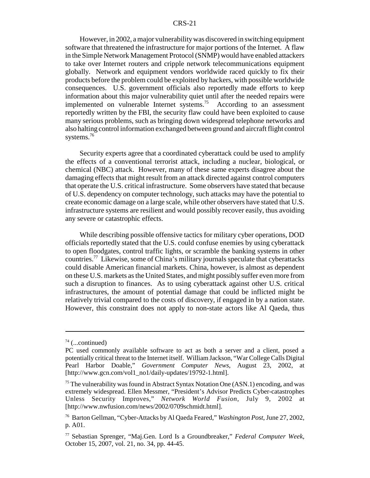However, in 2002, a major vulnerability was discovered in switching equipment software that threatened the infrastructure for major portions of the Internet. A flaw in the Simple Network Management Protocol (SNMP) would have enabled attackers to take over Internet routers and cripple network telecommunications equipment globally. Network and equipment vendors worldwide raced quickly to fix their products before the problem could be exploited by hackers, with possible worldwide consequences. U.S. government officials also reportedly made efforts to keep information about this major vulnerability quiet until after the needed repairs were implemented on vulnerable Internet systems.75 According to an assessment reportedly written by the FBI, the security flaw could have been exploited to cause many serious problems, such as bringing down widespread telephone networks and also halting control information exchanged between ground and aircraft flight control systems.<sup>76</sup>

Security experts agree that a coordinated cyberattack could be used to amplify the effects of a conventional terrorist attack, including a nuclear, biological, or chemical (NBC) attack. However, many of these same experts disagree about the damaging effects that might result from an attack directed against control computers that operate the U.S. critical infrastructure. Some observers have stated that because of U.S. dependency on computer technology, such attacks may have the potential to create economic damage on a large scale, while other observers have stated that U.S. infrastructure systems are resilient and would possibly recover easily, thus avoiding any severe or catastrophic effects.

While describing possible offensive tactics for military cyber operations, DOD officials reportedly stated that the U.S. could confuse enemies by using cyberattack to open floodgates, control traffic lights, or scramble the banking systems in other countries.<sup>77</sup> Likewise, some of China's military journals speculate that cyberattacks could disable American financial markets. China, however, is almost as dependent on these U.S. markets as the United States, and might possibly suffer even more from such a disruption to finances. As to using cyberattack against other U.S. critical infrastructures, the amount of potential damage that could be inflicted might be relatively trivial compared to the costs of discovery, if engaged in by a nation state. However, this constraint does not apply to non-state actors like Al Qaeda, thus

 $74$  (...continued)

PC used commonly available software to act as both a server and a client, posed a potentially critical threat to the Internet itself. William Jackson, "War College Calls Digital Pearl Harbor Doable," *Government Computer News*, August 23, 2002, at [http://www.gcn.com/vol1\_no1/daily-updates/19792-1.html].

<sup>&</sup>lt;sup>75</sup> The vulnerability was found in Abstract Syntax Notation One (ASN.1) encoding, and was extremely widespread. Ellen Messmer, "President's Advisor Predicts Cyber-catastrophes Unless Security Improves," *Network World Fusion*, July 9, 2002 at [http://www.nwfusion.com/news/2002/0709schmidt.html].

<sup>76</sup> Barton Gellman, "Cyber-Attacks by Al Qaeda Feared," *Washington Post*, June 27, 2002, p. A01.

<sup>77</sup> Sebastian Sprenger, "Maj.Gen. Lord Is a Groundbreaker," *Federal Computer Week*, October 15, 2007, vol. 21, no. 34, pp. 44-45.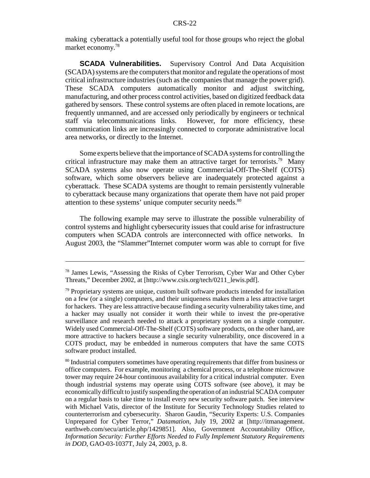making cyberattack a potentially useful tool for those groups who reject the global market economy.78

**SCADA Vulnerabilities.** Supervisory Control And Data Acquisition (SCADA) systems are the computers that monitor and regulate the operations of most critical infrastructure industries (such as the companies that manage the power grid). These SCADA computers automatically monitor and adjust switching, manufacturing, and other process control activities, based on digitized feedback data gathered by sensors. These control systems are often placed in remote locations, are frequently unmanned, and are accessed only periodically by engineers or technical staff via telecommunications links. However, for more efficiency, these communication links are increasingly connected to corporate administrative local area networks, or directly to the Internet.

Some experts believe that the importance of SCADA systems for controlling the critical infrastructure may make them an attractive target for terrorists.<sup>79</sup> Many SCADA systems also now operate using Commercial-Off-The-Shelf (COTS) software, which some observers believe are inadequately protected against a cyberattack. These SCADA systems are thought to remain persistently vulnerable to cyberattack because many organizations that operate them have not paid proper attention to these systems' unique computer security needs.<sup>80</sup>

The following example may serve to illustrate the possible vulnerability of control systems and highlight cybersecurity issues that could arise for infrastructure computers when SCADA controls are interconnected with office networks. In August 2003, the "Slammer"Internet computer worm was able to corrupt for five

<sup>78</sup> James Lewis, "Assessing the Risks of Cyber Terrorism, Cyber War and Other Cyber Threats," December 2002, at [http://www.csis.org/tech/0211\_lewis.pdf].

 $79$  Proprietary systems are unique, custom built software products intended for installation on a few (or a single) computers, and their uniqueness makes them a less attractive target for hackers. They are less attractive because finding a security vulnerability takes time, and a hacker may usually not consider it worth their while to invest the pre-operative surveillance and research needed to attack a proprietary system on a single computer. Widely used Commercial-Off-The-Shelf (COTS) software products, on the other hand, are more attractive to hackers because a single security vulnerability, once discovered in a COTS product, may be embedded in numerous computers that have the same COTS software product installed.

<sup>&</sup>lt;sup>80</sup> Industrial computers sometimes have operating requirements that differ from business or office computers. For example, monitoring a chemical process, or a telephone microwave tower may require 24-hour continuous availability for a critical industrial computer. Even though industrial systems may operate using COTS software (see above), it may be economically difficult to justify suspending the operation of an industrial SCADA computer on a regular basis to take time to install every new security software patch. See interview with Michael Vatis, director of the Institute for Security Technology Studies related to counterterrorism and cybersecurity. Sharon Gaudin, "Security Experts: U.S. Companies Unprepared for Cyber Terror," *Datamation*, July 19, 2002 at [http://itmanagement. earthweb.com/secu/article.php/1429851]. Also, Government Accountability Office, *Information Security: Further Efforts Needed to Fully Implement Statutory Requirements in DOD*, GAO-03-1037T, July 24, 2003, p. 8.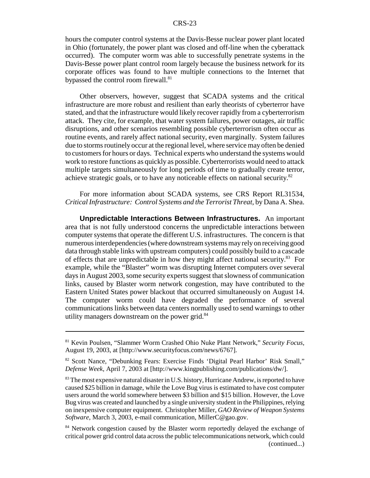hours the computer control systems at the Davis-Besse nuclear power plant located in Ohio (fortunately, the power plant was closed and off-line when the cyberattack occurred). The computer worm was able to successfully penetrate systems in the Davis-Besse power plant control room largely because the business network for its corporate offices was found to have multiple connections to the Internet that bypassed the control room firewall.<sup>81</sup>

Other observers, however, suggest that SCADA systems and the critical infrastructure are more robust and resilient than early theorists of cyberterror have stated, and that the infrastructure would likely recover rapidly from a cyberterrorism attack. They cite, for example, that water system failures, power outages, air traffic disruptions, and other scenarios resembling possible cyberterrorism often occur as routine events, and rarely affect national security, even marginally. System failures due to storms routinely occur at the regional level, where service may often be denied to customers for hours or days. Technical experts who understand the systems would work to restore functions as quickly as possible. Cyberterrorists would need to attack multiple targets simultaneously for long periods of time to gradually create terror, achieve strategic goals, or to have any noticeable effects on national security.<sup>82</sup>

For more information about SCADA systems, see CRS Report RL31534, *Critical Infrastructure: Control Systems and the Terrorist Threat*, by Dana A. Shea.

**Unpredictable Interactions Between Infrastructures.** An important area that is not fully understood concerns the unpredictable interactions between computer systems that operate the different U.S. infrastructures. The concern is that numerous interdependencies (where downstream systems may rely on receiving good data through stable links with upstream computers) could possibly build to a cascade of effects that are unpredictable in how they might affect national security.<sup>83</sup> For example, while the "Blaster" worm was disrupting Internet computers over several days in August 2003, some security experts suggest that slowness of communication links, caused by Blaster worm network congestion, may have contributed to the Eastern United States power blackout that occurred simultaneously on August 14. The computer worm could have degraded the performance of several communications links between data centers normally used to send warnings to other utility managers downstream on the power grid. $84$ 

<sup>81</sup> Kevin Poulsen, "Slammer Worm Crashed Ohio Nuke Plant Network," *Security Focus*, August 19, 2003, at [http://www.securityfocus.com/news/6767].

<sup>82</sup> Scott Nance, "Debunking Fears: Exercise Finds 'Digital Pearl Harbor' Risk Small," *Defense Week*, April 7, 2003 at [http://www.kingpublishing.com/publications/dw/].

 $83$  The most expensive natural disaster in U.S. history, Hurricane Andrew, is reported to have caused \$25 billion in damage, while the Love Bug virus is estimated to have cost computer users around the world somewhere between \$3 billion and \$15 billion. However, the Love Bug virus was created and launched by a single university student in the Philippines, relying on inexpensive computer equipment. Christopher Miller, *GAO Review of Weapon Systems Software*, March 3, 2003, e-mail communication, MillerC@gao.gov.

<sup>&</sup>lt;sup>84</sup> Network congestion caused by the Blaster worm reportedly delayed the exchange of critical power grid control data across the public telecommunications network, which could (continued...)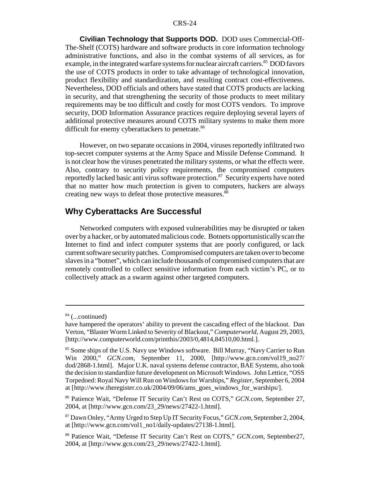**Civilian Technology that Supports DOD.** DOD uses Commercial-Off-The-Shelf (COTS) hardware and software products in core information technology administrative functions, and also in the combat systems of all services, as for example, in the integrated warfare systems for nuclear aircraft carriers.<sup>85</sup> DOD favors the use of COTS products in order to take advantage of technological innovation, product flexibility and standardization, and resulting contract cost-effectiveness. Nevertheless, DOD officials and others have stated that COTS products are lacking in security, and that strengthening the security of those products to meet military requirements may be too difficult and costly for most COTS vendors. To improve security, DOD Information Assurance practices require deploying several layers of additional protective measures around COTS military systems to make them more difficult for enemy cyberattackers to penetrate.<sup>86</sup>

However, on two separate occasions in 2004, viruses reportedly infiltrated two top-secret computer systems at the Army Space and Missile Defense Command. It is not clear how the viruses penetrated the military systems, or what the effects were. Also, contrary to security policy requirements, the compromised computers reportedly lacked basic anti virus software protection.<sup>87</sup> Security experts have noted that no matter how much protection is given to computers, hackers are always creating new ways to defeat those protective measures.<sup>88</sup>

#### **Why Cyberattacks Are Successful**

Networked computers with exposed vulnerabilities may be disrupted or taken over by a hacker, or by automated malicious code. Botnets opportunistically scan the Internet to find and infect computer systems that are poorly configured, or lack current software security patches. Compromised computers are taken over to become slaves in a "botnet", which can include thousands of compromised computers that are remotely controlled to collect sensitive information from each victim's PC, or to collectively attack as a swarm against other targeted computers.

 $84$  (...continued)

have hampered the operators' ability to prevent the cascading effect of the blackout. Dan Verton, "Blaster Worm Linked to Severity of Blackout," *Computerworld*, August 29, 2003, [http://www.computerworld.com/printthis/2003/0,4814,84510,00.html.].

<sup>&</sup>lt;sup>85</sup> Some ships of the U.S. Navy use Windows software. Bill Murray, "Navy Carrier to Run Win 2000," *GCN.com*, September 11, 2000, [http://www.gcn.com/vol19\_no27/ dod/2868-1.html]. Major U.K. naval systems defense contractor, BAE Systems, also took the decision to standardize future development on Microsoft Windows. John Lettice, "OSS Torpedoed: Royal Navy Will Run on Windows for Warships," *Register*, September 6, 2004 at [http://www.theregister.co.uk/2004/09/06/ams\_goes\_windows\_for\_warships/].

<sup>86</sup> Patience Wait, "Defense IT Security Can't Rest on COTS," *GCN.com*, September 27, 2004, at [http://www.gcn.com/23\_29/news/27422-1.html].

<sup>87</sup> Dawn Onley, "Army Urged to Step Up IT Security Focus," *GCN.com*, September 2, 2004, at [http://www.gcn.com/vol1\_no1/daily-updates/27138-1.html].

<sup>88</sup> Patience Wait, "Defense IT Security Can't Rest on COTS," *GCN.com*, September27, 2004, at [http://www.gcn.com/23\_29/news/27422-1.html].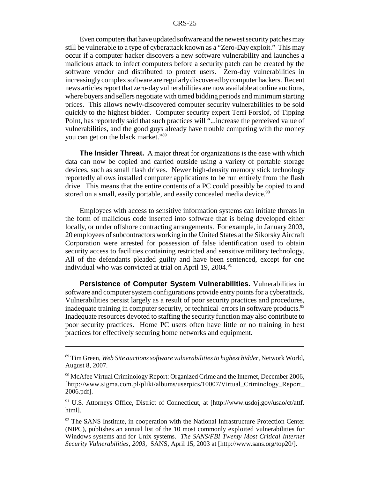Even computers that have updated software and the newest security patches may still be vulnerable to a type of cyberattack known as a "Zero-Day exploit." This may occur if a computer hacker discovers a new software vulnerability and launches a malicious attack to infect computers before a security patch can be created by the software vendor and distributed to protect users. Zero-day vulnerabilities in increasingly complex software are regularly discovered by computer hackers. Recent news articles report that zero-day vulnerabilities are now available at online auctions, where buyers and sellers negotiate with timed bidding periods and minimum starting prices. This allows newly-discovered computer security vulnerabilities to be sold quickly to the highest bidder. Computer security expert Terri Forslof, of Tipping Point, has reportedly said that such practices will "...increase the perceived value of vulnerabilities, and the good guys already have trouble competing with the money you can get on the black market."<sup>89</sup>

**The Insider Threat.** A major threat for organizations is the ease with which data can now be copied and carried outside using a variety of portable storage devices, such as small flash drives. Newer high-density memory stick technology reportedly allows installed computer applications to be run entirely from the flash drive. This means that the entire contents of a PC could possibly be copied to and stored on a small, easily portable, and easily concealed media device.<sup>90</sup>

Employees with access to sensitive information systems can initiate threats in the form of malicious code inserted into software that is being developed either locally, or under offshore contracting arrangements. For example, in January 2003, 20 employees of subcontractors working in the United States at the Sikorsky Aircraft Corporation were arrested for possession of false identification used to obtain security access to facilities containing restricted and sensitive military technology. All of the defendants pleaded guilty and have been sentenced, except for one individual who was convicted at trial on April 19,  $2004$ .<sup>91</sup>

**Persistence of Computer System Vulnerabilities.** Vulnerabilities in software and computer system configurations provide entry points for a cyberattack. Vulnerabilities persist largely as a result of poor security practices and procedures, inadequate training in computer security, or technical errors in software products.<sup>92</sup> Inadequate resources devoted to staffing the security function may also contribute to poor security practices. Home PC users often have little or no training in best practices for effectively securing home networks and equipment.

<sup>89</sup> Tim Green, *Web Site auctions software vulnerabilities to highest bidder*, Network World, August 8, 2007.

 $90$  McAfee Virtual Criminology Report: Organized Crime and the Internet, December 2006, [http://www.sigma.com.pl/pliki/albums/userpics/10007/Virtual\_Criminology\_Report\_ 2006.pdf].

<sup>&</sup>lt;sup>91</sup> U.S. Attorneys Office, District of Connecticut, at [http://www.usdoj.gov/usao/ct/attf. html].

 $92$  The SANS Institute, in cooperation with the National Infrastructure Protection Center (NIPC), publishes an annual list of the 10 most commonly exploited vulnerabilities for Windows systems and for Unix systems. *The SANS/FBI Twenty Most Critical Internet Security Vulnerabilities, 2003*, SANS, April 15, 2003 at [http://www.sans.org/top20/].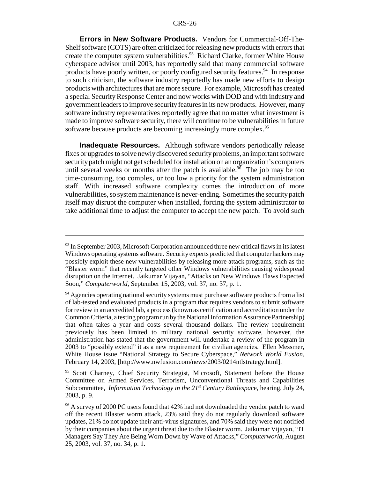**Errors in New Software Products.** Vendors for Commercial-Off-The-Shelf software (COTS) are often criticized for releasing new products with errors that create the computer system vulnerabilities.<sup>93</sup> Richard Clarke, former White House cyberspace advisor until 2003, has reportedly said that many commercial software products have poorly written, or poorly configured security features.<sup>94</sup> In response to such criticism, the software industry reportedly has made new efforts to design products with architectures that are more secure. For example, Microsoft has created a special Security Response Center and now works with DOD and with industry and government leaders to improve security features in its new products. However, many software industry representatives reportedly agree that no matter what investment is made to improve software security, there will continue to be vulnerabilities in future software because products are becoming increasingly more complex.<sup>95</sup>

**Inadequate Resources.** Although software vendors periodically release fixes or upgrades to solve newly discovered security problems, an important software security patch might not get scheduled for installation on an organization's computers until several weeks or months after the patch is available.<sup>96</sup> The job may be too time-consuming, too complex, or too low a priority for the system administration staff. With increased software complexity comes the introduction of more vulnerabilities, so system maintenance is never-ending. Sometimes the security patch itself may disrupt the computer when installed, forcing the system administrator to take additional time to adjust the computer to accept the new patch. To avoid such

<sup>&</sup>lt;sup>93</sup> In September 2003, Microsoft Corporation announced three new critical flaws in its latest Windows operating systems software. Security experts predicted that computer hackers may possibly exploit these new vulnerabilities by releasing more attack programs, such as the "Blaster worm" that recently targeted other Windows vulnerabilities causing widespread disruption on the Internet. Jaikumar Vijayan, "Attacks on New Windows Flaws Expected Soon," *Computerworld*, September 15, 2003, vol. 37, no. 37, p. 1.

<sup>&</sup>lt;sup>94</sup> Agencies operating national security systems must purchase software products from a list of lab-tested and evaluated products in a program that requires vendors to submit software for review in an accredited lab, a process (known as certification and accreditation under the Common Criteria, a testing program run by the National Information Assurance Partnership) that often takes a year and costs several thousand dollars. The review requirement previously has been limited to military national security software, however, the administration has stated that the government will undertake a review of the program in 2003 to "possibly extend" it as a new requirement for civilian agencies. Ellen Messmer, White House issue "National Strategy to Secure Cyberspace," *Network World Fusion*, February 14, 2003, [http://www.nwfusion.com/news/2003/0214ntlstrategy.html].

<sup>&</sup>lt;sup>95</sup> Scott Charney, Chief Security Strategist, Microsoft, Statement before the House Committee on Armed Services, Terrorism, Unconventional Threats and Capabilities Subcommittee, *Information Technology in the 21<sup>st</sup> Century Battlespace*, hearing, July 24, 2003, p. 9.

<sup>&</sup>lt;sup>96</sup> A survey of 2000 PC users found that 42% had not downloaded the vendor patch to ward off the recent Blaster worm attack, 23% said they do not regularly download software updates, 21% do not update their anti-virus signatures, and 70% said they were not notified by their companies about the urgent threat due to the Blaster worm. Jaikumar Vijayan, "IT Managers Say They Are Being Worn Down by Wave of Attacks," *Computerworld*, August 25, 2003, vol. 37, no. 34, p. 1.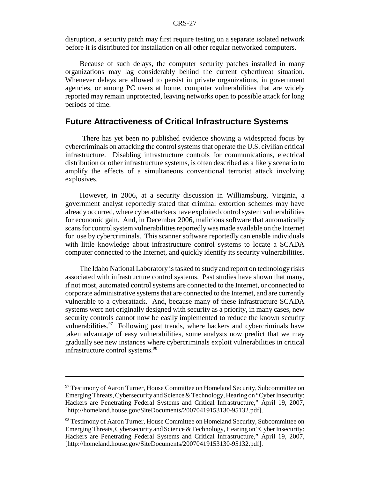disruption, a security patch may first require testing on a separate isolated network before it is distributed for installation on all other regular networked computers.

Because of such delays, the computer security patches installed in many organizations may lag considerably behind the current cyberthreat situation. Whenever delays are allowed to persist in private organizations, in government agencies, or among PC users at home, computer vulnerabilities that are widely reported may remain unprotected, leaving networks open to possible attack for long periods of time.

# **Future Attractiveness of Critical Infrastructure Systems**

 There has yet been no published evidence showing a widespread focus by cybercriminals on attacking the control systems that operate the U.S. civilian critical infrastructure. Disabling infrastructure controls for communications, electrical distribution or other infrastructure systems, is often described as a likely scenario to amplify the effects of a simultaneous conventional terrorist attack involving explosives.

However, in 2006, at a security discussion in Williamsburg, Virginia, a government analyst reportedly stated that criminal extortion schemes may have already occurred, where cyberattackers have exploited control system vulnerabilities for economic gain. And, in December 2006, malicious software that automatically scans for control system vulnerabilities reportedly was made available on the Internet for use by cybercriminals. This scanner software reportedly can enable individuals with little knowledge about infrastructure control systems to locate a SCADA computer connected to the Internet, and quickly identify its security vulnerabilities.

The Idaho National Laboratory is tasked to study and report on technology risks associated with infrastructure control systems. Past studies have shown that many, if not most, automated control systems are connected to the Internet, or connected to corporate administrative systems that are connected to the Internet, and are currently vulnerable to a cyberattack. And, because many of these infrastructure SCADA systems were not originally designed with security as a priority, in many cases, new security controls cannot now be easily implemented to reduce the known security vulnerabilities.  $97$  Following past trends, where hackers and cybercriminals have taken advantage of easy vulnerabilities, some analysts now predict that we may gradually see new instances where cybercriminals exploit vulnerabilities in critical infrastructure control systems.<sup>98</sup>

<sup>&</sup>lt;sup>97</sup> Testimony of Aaron Turner, House Committee on Homeland Security, Subcommittee on Emerging Threats, Cybersecurity and Science & Technology, Hearing on "Cyber Insecurity: Hackers are Penetrating Federal Systems and Critical Infrastructure," April 19, 2007, [http://homeland.house.gov/SiteDocuments/20070419153130-95132.pdf].

<sup>98</sup> Testimony of Aaron Turner, House Committee on Homeland Security, Subcommittee on Emerging Threats, Cybersecurity and Science & Technology, Hearing on "Cyber Insecurity: Hackers are Penetrating Federal Systems and Critical Infrastructure," April 19, 2007, [http://homeland.house.gov/SiteDocuments/20070419153130-95132.pdf].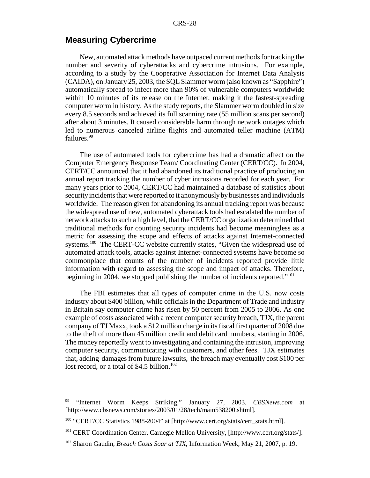#### **Measuring Cybercrime**

New, automated attack methods have outpaced current methods for tracking the number and severity of cyberattacks and cybercrime intrusions. For example, according to a study by the Cooperative Association for Internet Data Analysis (CAIDA), on January 25, 2003, the SQL Slammer worm (also known as "Sapphire") automatically spread to infect more than 90% of vulnerable computers worldwide within 10 minutes of its release on the Internet, making it the fastest-spreading computer worm in history. As the study reports, the Slammer worm doubled in size every 8.5 seconds and achieved its full scanning rate (55 million scans per second) after about 3 minutes. It caused considerable harm through network outages which led to numerous canceled airline flights and automated teller machine (ATM) failures.<sup>99</sup>

The use of automated tools for cybercrime has had a dramatic affect on the Computer Emergency Response Team/ Coordinating Center (CERT/CC). In 2004, CERT/CC announced that it had abandoned its traditional practice of producing an annual report tracking the number of cyber intrusions recorded for each year. For many years prior to 2004, CERT/CC had maintained a database of statistics about security incidents that were reported to it anonymously by businesses and individuals worldwide. The reason given for abandoning its annual tracking report was because the widespread use of new, automated cyberattack tools had escalated the number of network attacks to such a high level, that the CERT/CC organization determined that traditional methods for counting security incidents had become meaningless as a metric for assessing the scope and effects of attacks against Internet-connected systems.<sup>100</sup> The CERT-CC website currently states, "Given the widespread use of automated attack tools, attacks against Internet-connected systems have become so commonplace that counts of the number of incidents reported provide little information with regard to assessing the scope and impact of attacks. Therefore, beginning in 2004, we stopped publishing the number of incidents reported."101

The FBI estimates that all types of computer crime in the U.S. now costs industry about \$400 billion, while officials in the Department of Trade and Industry in Britain say computer crime has risen by 50 percent from 2005 to 2006. As one example of costs associated with a recent computer security breach, TJX, the parent company of TJ Maxx, took a \$12 million charge in its fiscal first quarter of 2008 due to the theft of more than 45 million credit and debit card numbers, starting in 2006. The money reportedly went to investigating and containing the intrusion, improving computer security, communicating with customers, and other fees. TJX estimates that, adding damages from future lawsuits, the breach may eventually cost \$100 per lost record, or a total of \$4.5 billion.<sup>102</sup>

<sup>99 &</sup>quot;Internet Worm Keeps Striking," January 27, 2003, *CBSNews.com* at [http://www.cbsnews.com/stories/2003/01/28/tech/main538200.shtml].

<sup>100 &</sup>quot;CERT/CC Statistics 1988-2004" at [http://www.cert.org/stats/cert\_stats.html].

<sup>101</sup> CERT Coordination Center, Carnegie Mellon University, [http://www.cert.org/stats/].

<sup>102</sup> Sharon Gaudin, *Breach Costs Soar at TJX*, Information Week, May 21, 2007, p. 19.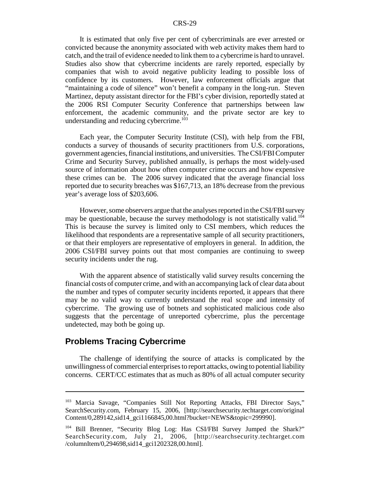It is estimated that only five per cent of cybercriminals are ever arrested or convicted because the anonymity associated with web activity makes them hard to catch, and the trail of evidence needed to link them to a cybercrime is hard to unravel. Studies also show that cybercrime incidents are rarely reported, especially by companies that wish to avoid negative publicity leading to possible loss of confidence by its customers. However, law enforcement officials argue that "maintaining a code of silence" won't benefit a company in the long-run. Steven Martinez, deputy assistant director for the FBI's cyber division, reportedly stated at the 2006 RSI Computer Security Conference that partnerships between law enforcement, the academic community, and the private sector are key to understanding and reducing cybercrime.<sup>103</sup>

Each year, the Computer Security Institute (CSI), with help from the FBI, conducts a survey of thousands of security practitioners from U.S. corporations, government agencies, financial institutions, and universities. The CSI/FBI Computer Crime and Security Survey, published annually, is perhaps the most widely-used source of information about how often computer crime occurs and how expensive these crimes can be. The 2006 survey indicated that the average financial loss reported due to security breaches was \$167,713, an 18% decrease from the previous year's average loss of \$203,606.

However, some observers argue that the analyses reported in the CSI/FBI survey may be questionable, because the survey methodology is not statistically valid.<sup>104</sup> This is because the survey is limited only to CSI members, which reduces the likelihood that respondents are a representative sample of all security practitioners, or that their employers are representative of employers in general. In addition, the 2006 CSI/FBI survey points out that most companies are continuing to sweep security incidents under the rug.

With the apparent absence of statistically valid survey results concerning the financial costs of computer crime, and with an accompanying lack of clear data about the number and types of computer security incidents reported, it appears that there may be no valid way to currently understand the real scope and intensity of cybercrime. The growing use of botnets and sophisticated malicious code also suggests that the percentage of unreported cybercrime, plus the percentage undetected, may both be going up.

#### **Problems Tracing Cybercrime**

The challenge of identifying the source of attacks is complicated by the unwillingness of commercial enterprises to report attacks, owing to potential liability concerns. CERT/CC estimates that as much as 80% of all actual computer security

<sup>&</sup>lt;sup>103</sup> Marcia Savage, "Companies Still Not Reporting Attacks, FBI Director Says," SearchSecurity.com, February 15, 2006, [http://searchsecurity.techtarget.com/original Content/0,289142,sid14\_gci1166845,00.html?bucket=NEWS&topic=299990].

<sup>104</sup> Bill Brenner, "Security Blog Log: Has CSI/FBI Survey Jumped the Shark?" SearchSecurity.com, July 21, 2006, [http://searchsecurity.techtarget.com /columnItem/0,294698,sid14\_gci1202328,00.html].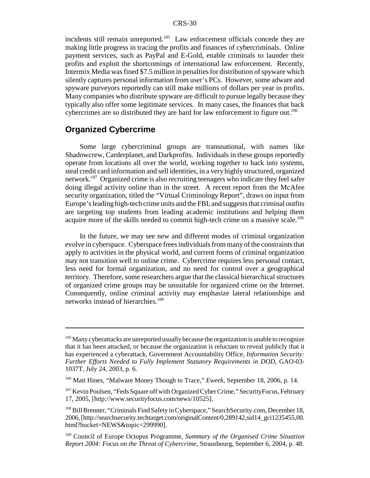incidents still remain unreported.<sup>105</sup> Law enforcement officials concede they are making little progress in tracing the profits and finances of cybercriminals. Online payment services, such as PayPal and E-Gold, enable criminals to launder their profits and exploit the shortcomings of international law enforcement. Recently, Intermix Media was fined \$7.5 million in penalties for distribution of spyware which silently captures personal information from user's PCs. However, some adware and spyware purveyors reportedly can still make millions of dollars per year in profits. Many companies who distribute spyware are difficult to pursue legally because they typically also offer some legitimate services. In many cases, the finances that back cybercrimes are so distributed they are hard for law enforcement to figure out.<sup>106</sup>

# **Organized Cybercrime**

Some large cybercriminal groups are transnational, with names like Shadowcrew, Carderplanet, and Darkprofits. Individuals in these groups reportedly operate from locations all over the world, working together to hack into systems, steal credit card information and sell identities, in a very highly structured, organized network.107 Organized crime is also recruiting teenagers who indicate they feel safer doing illegal activity online than in the street. A recent report from the McAfee security organization, titled the "Virtual Criminology Report", draws on input from Europe's leading high-tech crime units and the FBI, and suggests that criminal outfits are targeting top students from leading academic institutions and helping them acquire more of the skills needed to commit high-tech crime on a massive scale.<sup>108</sup>

In the future, we may see new and different modes of criminal organization evolve in cyberspace. Cyberspace frees individuals from many of the constraints that apply to activities in the physical world, and current forms of criminal organization may not transition well to online crime. Cybercrime requires less personal contact, less need for formal organization, and no need for control over a geographical territory. Therefore, some researchers argue that the classical hierarchical structures of organized crime groups may be unsuitable for organized crime on the Internet. Consequently, online criminal activity may emphasize lateral relationships and networks instead of hierarchies.<sup>109</sup>

 $105$  Many cyberattacks are unreported usually because the organization is unable to recognize that it has been attacked, or because the organization is reluctant to reveal publicly that it has experienced a cyberattack, Government Accountability Office, *Information Security: Further Efforts Needed to Fully Implement Statutory Requirements in DOD*, GAO-03- 1037T, July 24, 2003, p. 6.

<sup>106</sup> Matt Hines, "Malware Money Though to Trace," *Eweek*, September 18, 2006, p. 14.

 $107$  Kevin Poulsen, "Feds Square off with Organized Cyber Crime," Security Focus, February 17, 2005, [http://www.securityfocus.com/news/10525].

<sup>108</sup> Bill Brenner, "Criminals Find Safety in Cyberspace," SearchSecurity.com, December 18, 2006, [http://searchsecurity.techtarget.com/originalContent/0,289142,sid14\_gci1235455,00. html?bucket=NEWS&topic=299990].

<sup>109</sup> Council of Europe Octopus Programme, *Summary of the Organised Crime Situation Report 2004: Focus on the Threat of Cybercrime*, Strausbourg, September 6, 2004, p. 48.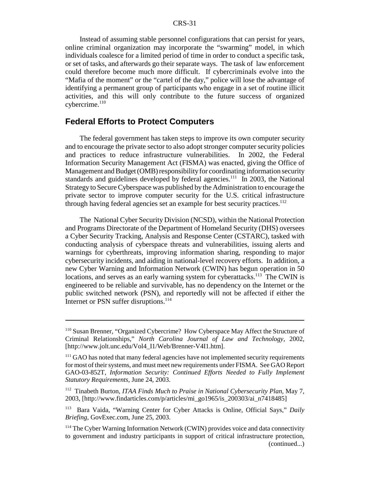Instead of assuming stable personnel configurations that can persist for years, online criminal organization may incorporate the "swarming" model, in which individuals coalesce for a limited period of time in order to conduct a specific task, or set of tasks, and afterwards go their separate ways. The task of law enforcement could therefore become much more difficult. If cybercriminals evolve into the "Mafia of the moment" or the "cartel of the day," police will lose the advantage of identifying a permanent group of participants who engage in a set of routine illicit activities, and this will only contribute to the future success of organized  $c$ ybercrime. $110$ 

# **Federal Efforts to Protect Computers**

The federal government has taken steps to improve its own computer security and to encourage the private sector to also adopt stronger computer security policies and practices to reduce infrastructure vulnerabilities. In 2002, the Federal Information Security Management Act (FISMA) was enacted, giving the Office of Management and Budget (OMB) responsibility for coordinating information security standards and guidelines developed by federal agencies.<sup>111</sup> In 2003, the National Strategy to Secure Cyberspace was published by the Administration to encourage the private sector to improve computer security for the U.S. critical infrastructure through having federal agencies set an example for best security practices.<sup>112</sup>

The National Cyber Security Division (NCSD), within the National Protection and Programs Directorate of the Department of Homeland Security (DHS) oversees a Cyber Security Tracking, Analysis and Response Center (CSTARC), tasked with conducting analysis of cyberspace threats and vulnerabilities, issuing alerts and warnings for cyberthreats, improving information sharing, responding to major cybersecurity incidents, and aiding in national-level recovery efforts. In addition, a new Cyber Warning and Information Network (CWIN) has begun operation in 50 locations, and serves as an early warning system for cyberattacks.<sup>113</sup> The CWIN is engineered to be reliable and survivable, has no dependency on the Internet or the public switched network (PSN), and reportedly will not be affected if either the Internet or PSN suffer disruptions.<sup>114</sup>

<sup>110</sup> Susan Brenner, "Organized Cybercrime? How Cyberspace May Affect the Structure of Criminal Relationships," *North Carolina Journal of Law and Technology*, 2002, [http://www.jolt.unc.edu/Vol4\_I1/Web/Brenner-V4I1.htm].

<sup>&</sup>lt;sup>111</sup> GAO has noted that many federal agencies have not implemented security requirements for most of their systems, and must meet new requirements under FISMA. See GAO Report GAO-03-852T, *Information Security: Continued Efforts Needed to Fully Implement Statutory Requirements*, June 24, 2003.

<sup>112</sup> Tinabeth Burton, *ITAA Finds Much to Praise in National Cybersecurity Plan,* May 7, 2003, [http://www.findarticles.com/p/articles/mi\_go1965/is\_200303/ai\_n7418485]

<sup>113</sup> Bara Vaida, "Warning Center for Cyber Attacks is Online, Official Says," *Daily Briefing*, GovExec.com, June 25, 2003.

<sup>&</sup>lt;sup>114</sup> The Cyber Warning Information Network (CWIN) provides voice and data connectivity to government and industry participants in support of critical infrastructure protection, (continued...)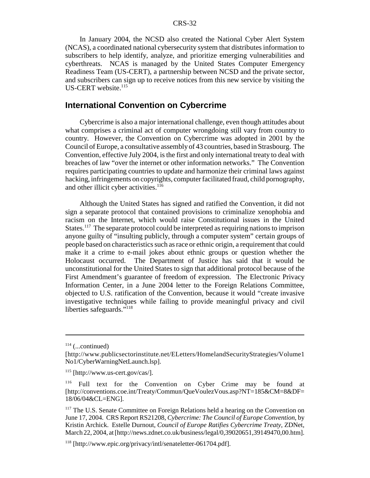In January 2004, the NCSD also created the National Cyber Alert System (NCAS), a coordinated national cybersecurity system that distributes information to subscribers to help identify, analyze, and prioritize emerging vulnerabilities and cyberthreats. NCAS is managed by the United States Computer Emergency Readiness Team (US-CERT), a partnership between NCSD and the private sector, and subscribers can sign up to receive notices from this new service by visiting the US-CERT website.<sup>115</sup>

# **International Convention on Cybercrime**

Cybercrime is also a major international challenge, even though attitudes about what comprises a criminal act of computer wrongdoing still vary from country to country. However, the Convention on Cybercrime was adopted in 2001 by the Council of Europe, a consultative assembly of 43 countries, based in Strasbourg. The Convention, effective July 2004, is the first and only international treaty to deal with breaches of law "over the internet or other information networks." The Convention requires participating countries to update and harmonize their criminal laws against hacking, infringements on copyrights, computer facilitated fraud, child pornography, and other illicit cyber activities.<sup>116</sup>

Although the United States has signed and ratified the Convention, it did not sign a separate protocol that contained provisions to criminalize xenophobia and racism on the Internet, which would raise Constitutional issues in the United States.117 The separate protocol could be interpreted as requiring nations to imprison anyone guilty of "insulting publicly, through a computer system" certain groups of people based on characteristics such as race or ethnic origin, a requirement that could make it a crime to e-mail jokes about ethnic groups or question whether the Holocaust occurred. The Department of Justice has said that it would be unconstitutional for the United States to sign that additional protocol because of the First Amendment's guarantee of freedom of expression. The Electronic Privacy Information Center, in a June 2004 letter to the Foreign Relations Committee, objected to U.S. ratification of the Convention, because it would "create invasive investigative techniques while failing to provide meaningful privacy and civil liberties safeguards."<sup>118</sup>

 $114$  (...continued)

<sup>[</sup>http://www.publicsectorinstitute.net/ELetters/HomelandSecurityStrategies/Volume1 No1/CyberWarningNetLaunch.lsp].

<sup>115 [</sup>http://www.us-cert.gov/cas/].

<sup>116</sup> Full text for the Convention on Cyber Crime may be found at [http://conventions.coe.int/Treaty/Commun/QueVoulezVous.asp?NT=185&CM=8&DF= 18/06/04&CL=ENG].

<sup>&</sup>lt;sup>117</sup> The U.S. Senate Committee on Foreign Relations held a hearing on the Convention on June 17, 2004. CRS Report RS21208, *Cybercrime: The Council of Europe Convention*, by Kristin Archick. Estelle Durnout, *Council of Europe Ratifies Cybercrime Treaty*, ZDNet, March 22, 2004, at [http://news.zdnet.co.uk/business/legal/0,39020651,39149470,00.htm].

<sup>118 [</sup>http://www.epic.org/privacy/intl/senateletter-061704.pdf].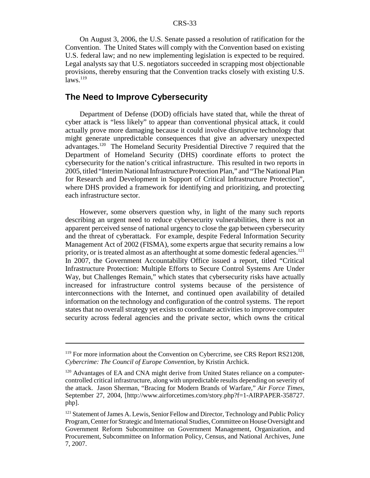On August 3, 2006, the U.S. Senate passed a resolution of ratification for the Convention. The United States will comply with the Convention based on existing U.S. federal law; and no new implementing legislation is expected to be required. Legal analysts say that U.S. negotiators succeeded in scrapping most objectionable provisions, thereby ensuring that the Convention tracks closely with existing U.S.  $\overline{l}$ aws.<sup>119</sup>

# **The Need to Improve Cybersecurity**

Department of Defense (DOD) officials have stated that, while the threat of cyber attack is "less likely" to appear than conventional physical attack, it could actually prove more damaging because it could involve disruptive technology that might generate unpredictable consequences that give an adversary unexpected advantages.120 The Homeland Security Presidential Directive 7 required that the Department of Homeland Security (DHS) coordinate efforts to protect the cybersecurity for the nation's critical infrastructure. This resulted in two reports in 2005, titled "Interim National Infrastructure Protection Plan," and "The National Plan for Research and Development in Support of Critical Infrastructure Protection", where DHS provided a framework for identifying and prioritizing, and protecting each infrastructure sector.

However, some observers question why, in light of the many such reports describing an urgent need to reduce cybersecurity vulnerabilities, there is not an apparent perceived sense of national urgency to close the gap between cybersecurity and the threat of cyberattack. For example, despite Federal Information Security Management Act of 2002 (FISMA), some experts argue that security remains a low priority, or is treated almost as an afterthought at some domestic federal agencies.<sup>121</sup> In 2007, the Government Accountability Office issued a report, titled "Critical Infrastructure Protection: Multiple Efforts to Secure Control Systems Are Under Way, but Challenges Remain," which states that cybersecurity risks have actually increased for infrastructure control systems because of the persistence of interconnections with the Internet, and continued open availability of detailed information on the technology and configuration of the control systems. The report states that no overall strategy yet exists to coordinate activities to improve computer security across federal agencies and the private sector, which owns the critical

<sup>&</sup>lt;sup>119</sup> For more information about the Convention on Cybercrime, see CRS Report RS21208, *Cybercrime: The Council of Europe Convention*, by Kristin Archick.

<sup>&</sup>lt;sup>120</sup> Advantages of EA and CNA might derive from United States reliance on a computercontrolled critical infrastructure, along with unpredictable results depending on severity of the attack. Jason Sherman, "Bracing for Modern Brands of Warfare," *Air Force Times*, September 27, 2004, [http://www.airforcetimes.com/story.php?f=1-AIRPAPER-358727. php].

<sup>&</sup>lt;sup>121</sup> Statement of James A. Lewis, Senior Fellow and Director, Technology and Public Policy Program, Center for Strategic and International Studies, Committee on House Oversight and Government Reform Subcommittee on Government Management, Organization, and Procurement, Subcommittee on Information Policy, Census, and National Archives, June 7, 2007.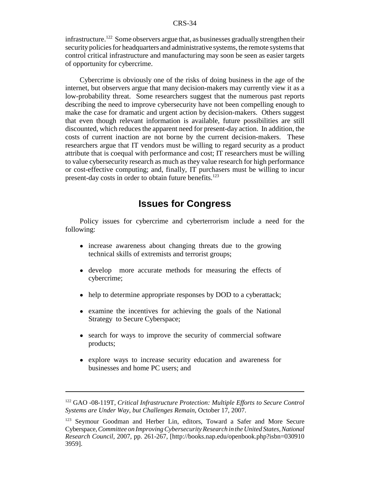infrastructure.<sup>122</sup> Some observers argue that, as businesses gradually strengthen their security policies for headquarters and administrative systems, the remote systems that control critical infrastructure and manufacturing may soon be seen as easier targets of opportunity for cybercrime.

Cybercrime is obviously one of the risks of doing business in the age of the internet, but observers argue that many decision-makers may currently view it as a low-probability threat. Some researchers suggest that the numerous past reports describing the need to improve cybersecurity have not been compelling enough to make the case for dramatic and urgent action by decision-makers. Others suggest that even though relevant information is available, future possibilities are still discounted, which reduces the apparent need for present-day action. In addition, the costs of current inaction are not borne by the current decision-makers. These researchers argue that IT vendors must be willing to regard security as a product attribute that is coequal with performance and cost; IT researchers must be willing to value cybersecurity research as much as they value research for high performance or cost-effective computing; and, finally, IT purchasers must be willing to incur present-day costs in order to obtain future benefits.<sup>123</sup>

# **Issues for Congress**

Policy issues for cybercrime and cyberterrorism include a need for the following:

- increase awareness about changing threats due to the growing technical skills of extremists and terrorist groups;
- ! develop more accurate methods for measuring the effects of cybercrime;
- help to determine appropriate responses by DOD to a cyberattack;
- examine the incentives for achieving the goals of the National Strategy to Secure Cyberspace;
- search for ways to improve the security of commercial software products;
- ! explore ways to increase security education and awareness for businesses and home PC users; and

<sup>122</sup> GAO -08-119T, *Critical Infrastructure Protection: Multiple Efforts to Secure Control Systems are Under Way, but Challenges Remain*, October 17, 2007.

<sup>&</sup>lt;sup>123</sup> Seymour Goodman and Herber Lin, editors, Toward a Safer and More Secure Cyberspace, *Committee on Improving Cybersecurity Research in the United States, National Research Council,* 2007, pp. 261-267, [http://books.nap.edu/openbook.php?isbn=030910 3959].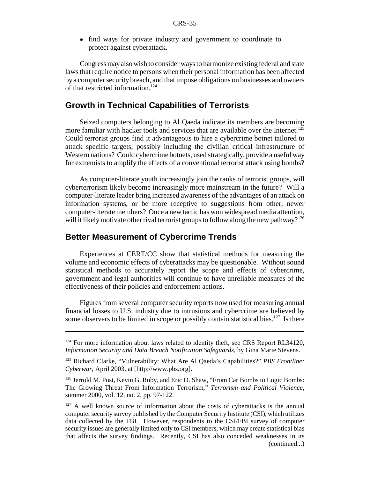• find ways for private industry and government to coordinate to protect against cyberattack.

Congress may also wish to consider ways to harmonize existing federal and state laws that require notice to persons when their personal information has been affected by a computer security breach, and that impose obligations on businesses and owners of that restricted information.<sup>124</sup>

# **Growth in Technical Capabilities of Terrorists**

Seized computers belonging to Al Qaeda indicate its members are becoming more familiar with hacker tools and services that are available over the Internet.<sup>125</sup> Could terrorist groups find it advantageous to hire a cybercrime botnet tailored to attack specific targets, possibly including the civilian critical infrastructure of Western nations? Could cybercrime botnets, used strategically, provide a useful way for extremists to amplify the effects of a conventional terrorist attack using bombs?

As computer-literate youth increasingly join the ranks of terrorist groups, will cyberterrorism likely become increasingly more mainstream in the future? Will a computer-literate leader bring increased awareness of the advantages of an attack on information systems, or be more receptive to suggestions from other, newer computer-literate members? Once a new tactic has won widespread media attention, will it likely motivate other rival terrorist groups to follow along the new pathway?<sup>126</sup>

### **Better Measurement of Cybercrime Trends**

Experiences at CERT/CC show that statistical methods for measuring the volume and economic effects of cyberattacks may be questionable. Without sound statistical methods to accurately report the scope and effects of cybercrime, government and legal authorities will continue to have unreliable measures of the effectiveness of their policies and enforcement actions.

Figures from several computer security reports now used for measuring annual financial losses to U.S. industry due to intrusions and cybercrime are believed by some observers to be limited in scope or possibly contain statistical bias.<sup>127</sup> Is there

 $124$  For more information about laws related to identity theft, see CRS Report RL34120, *Information Security and Data Breach Notification Safeguards*, by Gina Marie Stevens.

<sup>125</sup> Richard Clarke, "Vulnerability: What Are Al Qaeda's Capabilities?" *PBS Frontline: Cyberwar*, April 2003, at [http://www.pbs.org].

<sup>&</sup>lt;sup>126</sup> Jerrold M. Post, Kevin G. Ruby, and Eric D. Shaw, "From Car Bombs to Logic Bombs: The Growing Threat From Information Terrorism," *Terrorism and Political Violence*, summer 2000, vol. 12, no. 2, pp. 97-122.

 $127$  A well known source of information about the costs of cyberattacks is the annual computer security survey published by the Computer Security Institute (CSI), which utilizes data collected by the FBI. However, respondents to the CSI/FBI survey of computer security issues are generally limited only to CSI members, which may create statistical bias that affects the survey findings. Recently, CSI has also conceded weaknesses in its (continued...)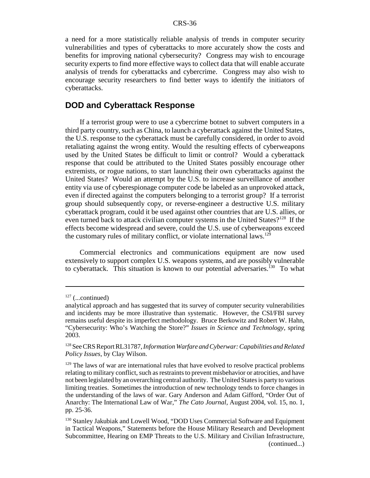a need for a more statistically reliable analysis of trends in computer security vulnerabilities and types of cyberattacks to more accurately show the costs and benefits for improving national cybersecurity? Congress may wish to encourage security experts to find more effective ways to collect data that will enable accurate analysis of trends for cyberattacks and cybercrime. Congress may also wish to encourage security researchers to find better ways to identify the initiators of cyberattacks.

#### **DOD and Cyberattack Response**

If a terrorist group were to use a cybercrime botnet to subvert computers in a third party country, such as China, to launch a cyberattack against the United States, the U.S. response to the cyberattack must be carefully considered, in order to avoid retaliating against the wrong entity. Would the resulting effects of cyberweapons used by the United States be difficult to limit or control? Would a cyberattack response that could be attributed to the United States possibly encourage other extremists, or rogue nations, to start launching their own cyberattacks against the United States? Would an attempt by the U.S. to increase surveillance of another entity via use of cyberespionage computer code be labeled as an unprovoked attack, even if directed against the computers belonging to a terrorist group? If a terrorist group should subsequently copy, or reverse-engineer a destructive U.S. military cyberattack program, could it be used against other countries that are U.S. allies, or even turned back to attack civilian computer systems in the United States?<sup>128</sup> If the effects become widespread and severe, could the U.S. use of cyberweapons exceed the customary rules of military conflict, or violate international laws.<sup>129</sup>

Commercial electronics and communications equipment are now used extensively to support complex U.S. weapons systems, and are possibly vulnerable to cyberattack. This situation is known to our potential adversaries.<sup>130</sup> To what

 $127$  (...continued)

analytical approach and has suggested that its survey of computer security vulnerabilities and incidents may be more illustrative than systematic. However, the CSI/FBI survey remains useful despite its imperfect methodology. Bruce Berkowitz and Robert W. Hahn, "Cybersecurity: Who's Watching the Store?" *Issues in Science and Technology*, spring 2003.

<sup>128</sup> See CRS Report RL31787, *Information Warfare and Cyberwar: Capabilities and Related Policy Issues*, by Clay Wilson.

 $129$  The laws of war are international rules that have evolved to resolve practical problems relating to military conflict, such as restraints to prevent misbehavior or atrocities, and have not been legislated by an overarching central authority. The United States is party to various limiting treaties. Sometimes the introduction of new technology tends to force changes in the understanding of the laws of war. Gary Anderson and Adam Gifford, "Order Out of Anarchy: The International Law of War," *The Cato Journal*, August 2004, vol. 15, no. 1, pp. 25-36.

<sup>&</sup>lt;sup>130</sup> Stanley Jakubiak and Lowell Wood, "DOD Uses Commercial Software and Equipment in Tactical Weapons," Statements before the House Military Research and Development Subcommittee, Hearing on EMP Threats to the U.S. Military and Civilian Infrastructure, (continued...)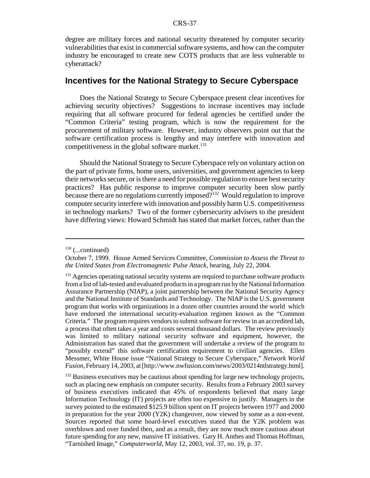degree are military forces and national security threatened by computer security vulnerabilities that exist in commercial software systems, and how can the computer industry be encouraged to create new COTS products that are less vulnerable to cyberattack?

# **Incentives for the National Strategy to Secure Cyberspace**

Does the National Strategy to Secure Cyberspace present clear incentives for achieving security objectives? Suggestions to increase incentives may include requiring that all software procured for federal agencies be certified under the "Common Criteria" testing program, which is now the requirement for the procurement of military software. However, industry observers point out that the software certification process is lengthy and may interfere with innovation and competitiveness in the global software market. $^{131}$ 

Should the National Strategy to Secure Cyberspace rely on voluntary action on the part of private firms, home users, universities, and government agencies to keep their networks secure, or is there a need for possible regulation to ensure best security practices? Has public response to improve computer security been slow partly because there are no regulations currently imposed?<sup>132</sup> Would regulation to improve computer security interfere with innovation and possibly harm U.S. competitiveness in technology markets? Two of the former cybersecurity advisers to the president have differing views: Howard Schmidt has stated that market forces, rather than the

 $130$  (...continued)

October 7, 1999. House Armed Services Committee, *Commission to Assess the Threat to the United States from Electromagnetic Pulse Attack*, hearing, July 22, 2004.

<sup>&</sup>lt;sup>131</sup> Agencies operating national security systems are required to purchase software products from a list of lab-tested and evaluated products in a program run by the National Information Assurance Partnership (NIAP), a joint partnership between the National Security Agency and the National Institute of Standards and Technology. The NIAP is the U.S. government program that works with organizations in a dozen other countries around the world which have endorsed the international security-evaluation regimen known as the "Common Criteria." The program requires vendors to submit software for review in an accredited lab, a process that often takes a year and costs several thousand dollars. The review previously was limited to military national security software and equipment, however, the Administration has stated that the government will undertake a review of the program to "possibly extend" this software certification requirement to civilian agencies. Ellen Messmer, White House issue "National Strategy to Secure Cyberspace," *Network World Fusion*, February 14, 2003, at [http://www.nwfusion.com/news/2003/0214ntlstrategy.html].

<sup>&</sup>lt;sup>132</sup> Business executives may be cautious about spending for large new technology projects, such as placing new emphasis on computer security. Results from a February 2003 survey of business executives indicated that 45% of respondents believed that many large Information Technology (IT) projects are often too expensive to justify. Managers in the survey pointed to the estimated \$125.9 billion spent on IT projects between 1977 and 2000 in preparation for the year 2000 (Y2K) changeover, now viewed by some as a non-event. Sources reported that some board-level executives stated that the Y2K problem was overblown and over funded then, and as a result, they are now much more cautious about future spending for any new, massive IT initiatives. Gary H. Anthes and Thomas Hoffman, "Tarnished Image," *Computerworld*, May 12, 2003, vol. 37, no. 19, p. 37.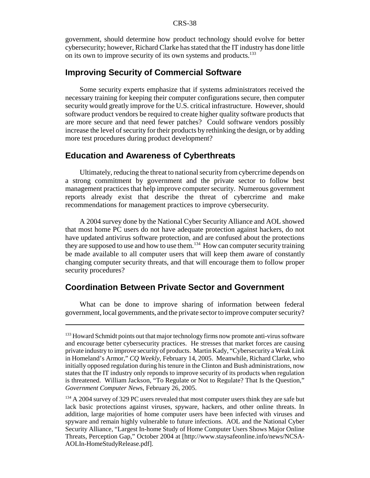government, should determine how product technology should evolve for better cybersecurity; however, Richard Clarke has stated that the IT industry has done little on its own to improve security of its own systems and products.<sup>133</sup>

### **Improving Security of Commercial Software**

Some security experts emphasize that if systems administrators received the necessary training for keeping their computer configurations secure, then computer security would greatly improve for the U.S. critical infrastructure. However, should software product vendors be required to create higher quality software products that are more secure and that need fewer patches? Could software vendors possibly increase the level of security for their products by rethinking the design, or by adding more test procedures during product development?

### **Education and Awareness of Cyberthreats**

Ultimately, reducing the threat to national security from cybercrime depends on a strong commitment by government and the private sector to follow best management practices that help improve computer security. Numerous government reports already exist that describe the threat of cybercrime and make recommendations for management practices to improve cybersecurity.

A 2004 survey done by the National Cyber Security Alliance and AOL showed that most home PC users do not have adequate protection against hackers, do not have updated antivirus software protection, and are confused about the protections they are supposed to use and how to use them.<sup>134</sup> How can computer security training be made available to all computer users that will keep them aware of constantly changing computer security threats, and that will encourage them to follow proper security procedures?

# **Coordination Between Private Sector and Government**

What can be done to improve sharing of information between federal government, local governments, and the private sector to improve computer security?

<sup>&</sup>lt;sup>133</sup> Howard Schmidt points out that major technology firms now promote anti-virus software and encourage better cybersecurity practices. He stresses that market forces are causing private industry to improve security of products. Martin Kady, "Cybersecurity a Weak Link in Homeland's Armor," *CQ Weekly*, February 14, 2005. Meanwhile, Richard Clarke, who initially opposed regulation during his tenure in the Clinton and Bush administrations, now states that the IT industry only reponds to improve security of its products when regulation is threatened. William Jackson*,* "To Regulate or Not to Regulate? That Is the Question," *Government Computer New*s, February 26, 2005.

<sup>&</sup>lt;sup>134</sup> A 2004 survey of 329 PC users revealed that most computer users think they are safe but lack basic protections against viruses, spyware, hackers, and other online threats. In addition, large majorities of home computer users have been infected with viruses and spyware and remain highly vulnerable to future infections. AOL and the National Cyber Security Alliance, "Largest In-home Study of Home Computer Users Shows Major Online Threats, Perception Gap," October 2004 at [http://www.staysafeonline.info/news/NCSA-AOLIn-HomeStudyRelease.pdf].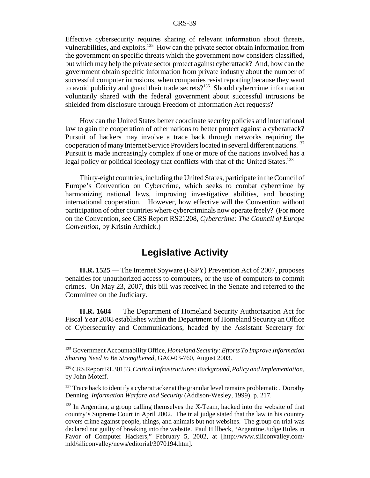Effective cybersecurity requires sharing of relevant information about threats, vulnerabilities, and exploits.<sup>135</sup> How can the private sector obtain information from the government on specific threats which the government now considers classified, but which may help the private sector protect against cyberattack? And, how can the government obtain specific information from private industry about the number of successful computer intrusions, when companies resist reporting because they want to avoid publicity and guard their trade secrets?<sup>136</sup> Should cybercrime information voluntarily shared with the federal government about successful intrusions be shielded from disclosure through Freedom of Information Act requests?

How can the United States better coordinate security policies and international law to gain the cooperation of other nations to better protect against a cyberattack? Pursuit of hackers may involve a trace back through networks requiring the cooperation of many Internet Service Providers located in several different nations.137 Pursuit is made increasingly complex if one or more of the nations involved has a legal policy or political ideology that conflicts with that of the United States.<sup>138</sup>

Thirty-eight countries, including the United States, participate in the Council of Europe's Convention on Cybercrime, which seeks to combat cybercrime by harmonizing national laws, improving investigative abilities, and boosting international cooperation. However, how effective will the Convention without participation of other countries where cybercriminals now operate freely? (For more on the Convention, see CRS Report RS21208, *Cybercrime: The Council of Europe Convention*, by Kristin Archick.)

# **Legislative Activity**

**H.R. 1525** — The Internet Spyware (I-SPY) Prevention Act of 2007, proposes penalties for unauthorized access to computers, or the use of computers to commit crimes. On May 23, 2007, this bill was received in the Senate and referred to the Committee on the Judiciary.

**H.R. 1684** — The Department of Homeland Security Authorization Act for Fiscal Year 2008 establishes within the Department of Homeland Security an Office of Cybersecurity and Communications, headed by the Assistant Secretary for

<sup>135</sup> Government Accountability Office, *Homeland Security: Efforts To Improve Information Sharing Need to Be Strengthened*, GAO-03-760, August 2003.

<sup>136</sup> CRS Report RL30153, *Critical Infrastructures: Background, Policy and Implementation*, by John Moteff.

 $137$  Trace back to identify a cyberattacker at the granular level remains problematic. Dorothy Denning, *Information Warfare and Security* (Addison-Wesley, 1999), p. 217.

<sup>&</sup>lt;sup>138</sup> In Argentina, a group calling themselves the X-Team, hacked into the website of that country's Supreme Court in April 2002. The trial judge stated that the law in his country covers crime against people, things, and animals but not websites. The group on trial was declared not guilty of breaking into the website. Paul Hillbeck, "Argentine Judge Rules in Favor of Computer Hackers," February 5, 2002, at [http://www.siliconvalley.com/ mld/siliconvalley/news/editorial/3070194.htm].